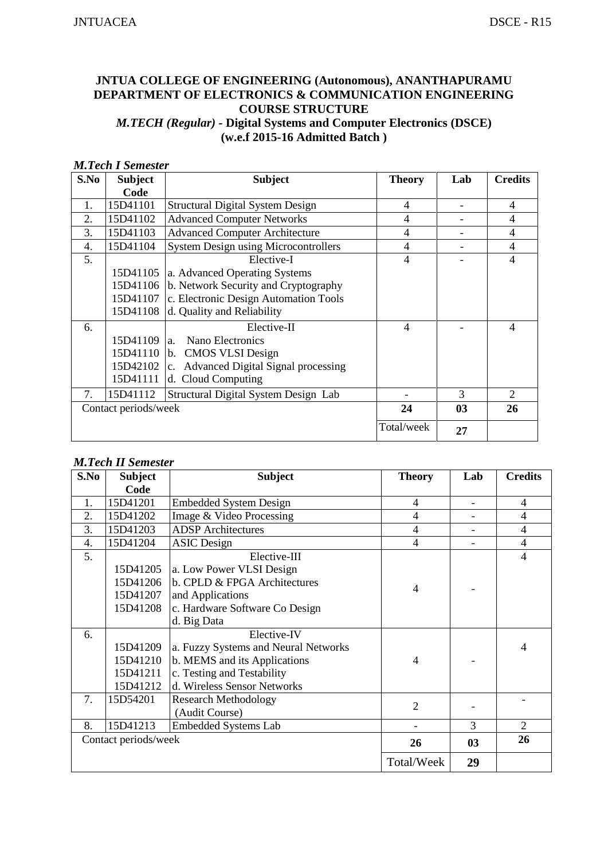# **JNTUA COLLEGE OF ENGINEERING (Autonomous), ANANTHAPURAMU DEPARTMENT OF ELECTRONICS & COMMUNICATION ENGINEERING COURSE STRUCTURE**  *M.TECH (Regular) -* **Digital Systems and Computer Electronics (DSCE) (w.e.f 2015-16 Admitted Batch )**

#### *M.Tech I Semester*

| S.No | <b>Subject</b>       | <b>Subject</b>                                   | <b>Theory</b>  | Lab            | <b>Credits</b>              |
|------|----------------------|--------------------------------------------------|----------------|----------------|-----------------------------|
|      | Code                 |                                                  |                |                |                             |
| 1.   | 15D41101             | <b>Structural Digital System Design</b>          | 4              |                | $\overline{4}$              |
| 2.   | 15D41102             | <b>Advanced Computer Networks</b>                | 4              |                | $\overline{4}$              |
| 3.   | 15D41103             | <b>Advanced Computer Architecture</b>            | 4              |                | $\overline{4}$              |
| 4.   | 15D41104             | <b>System Design using Microcontrollers</b>      | 4              |                | $\overline{4}$              |
| 5.   |                      | Elective-I                                       | $\overline{4}$ |                | $\overline{4}$              |
|      |                      | 15D41105 a. Advanced Operating Systems           |                |                |                             |
|      |                      | 15D41106 b. Network Security and Cryptography    |                |                |                             |
|      |                      | 15D41107   c. Electronic Design Automation Tools |                |                |                             |
|      |                      | 15D41108 d. Quality and Reliability              |                |                |                             |
| 6.   |                      | Elective-II                                      | $\overline{4}$ |                | $\overline{\mathcal{A}}$    |
|      | 15D41109             | Nano Electronics<br>a.                           |                |                |                             |
|      |                      | 15D41110 b. CMOS VLSI Design                     |                |                |                             |
|      | 15D42102   c.        | <b>Advanced Digital Signal processing</b>        |                |                |                             |
|      | 15D41111             | d. Cloud Computing                               |                |                |                             |
| 7.   | 15D41112             | Structural Digital System Design Lab             |                | $\mathcal{R}$  | $\mathcal{D}_{\mathcal{L}}$ |
|      | Contact periods/week |                                                  | 24             | 0 <sub>3</sub> | 26                          |
|      |                      |                                                  | Total/week     | 27             |                             |

#### *M.Tech II Semester*

| S.No | <b>Subject</b>       | <b>Subject</b>                       | <b>Theory</b>  | Lab                      | <b>Credits</b> |
|------|----------------------|--------------------------------------|----------------|--------------------------|----------------|
|      | Code                 |                                      |                |                          |                |
| 1.   | 15D41201             | <b>Embedded System Design</b>        | $\overline{4}$ | $\overline{\phantom{a}}$ | 4              |
| 2.   | 15D41202             | Image & Video Processing             | $\overline{4}$ |                          | $\overline{4}$ |
| 3.   | 15D41203             | <b>ADSP</b> Architectures            | 4              |                          | $\overline{4}$ |
| 4.   | 15D41204             | <b>ASIC</b> Design                   | $\overline{4}$ |                          | $\overline{4}$ |
| 5.   |                      | Elective-III                         |                |                          | 4              |
|      | 15D41205             | a. Low Power VLSI Design             |                |                          |                |
|      | 15D41206             | b. CPLD & FPGA Architectures         | $\overline{4}$ |                          |                |
|      | 15D41207             | and Applications                     |                |                          |                |
|      | 15D41208             | c. Hardware Software Co Design       |                |                          |                |
|      |                      | d. Big Data                          |                |                          |                |
| 6.   |                      | Elective-IV                          |                |                          |                |
|      | 15D41209             | a. Fuzzy Systems and Neural Networks |                |                          | 4              |
|      | 15D41210             | b. MEMS and its Applications         | $\overline{4}$ |                          |                |
|      | 15D41211             | c. Testing and Testability           |                |                          |                |
|      | 15D41212             | d. Wireless Sensor Networks          |                |                          |                |
| 7.   | 15D54201             | <b>Research Methodology</b>          | $\overline{2}$ |                          |                |
|      |                      | (Audit Course)                       |                |                          |                |
| 8.   | 15D41213             | <b>Embedded Systems Lab</b>          |                | 3                        | $\overline{2}$ |
|      | Contact periods/week |                                      | 26             | 03                       | 26             |
|      |                      |                                      | Total/Week     | 29                       |                |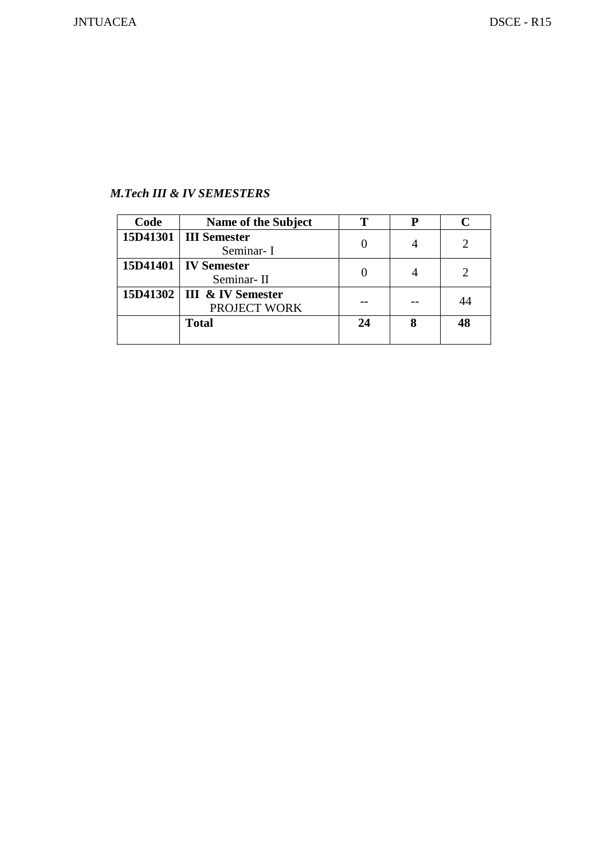# *M.Tech III & IV SEMESTERS*

| Code | Name of the Subject                          |    |    |
|------|----------------------------------------------|----|----|
|      | 15D41301   III Semester<br>Seminar-I         |    |    |
|      | 15D41401   IV Semester<br>Seminar-II         |    |    |
|      | 15D41302   III & IV Semester<br>PROJECT WORK |    |    |
|      | <b>Total</b>                                 | 24 | 48 |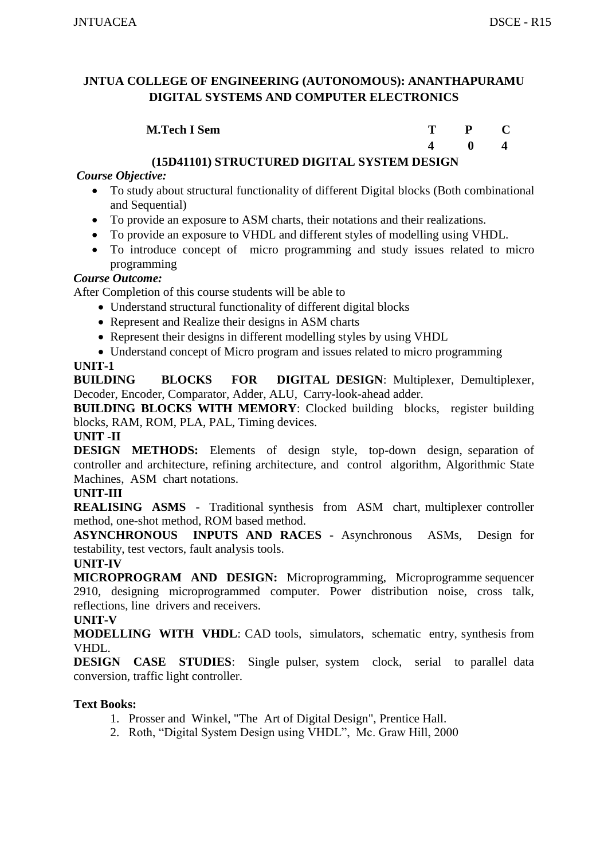| <b>M.Tech I Sem</b> |              | $P$ C |
|---------------------|--------------|-------|
|                     | $\mathbf{0}$ |       |

# **(15D41101) STRUCTURED DIGITAL SYSTEM DESIGN**

# *Course Objective:*

- To study about structural functionality of different Digital blocks (Both combinational and Sequential)
- To provide an exposure to ASM charts, their notations and their realizations.
- To provide an exposure to VHDL and different styles of modelling using VHDL.
- To introduce concept of micro programming and study issues related to micro programming

#### *Course Outcome:*

After Completion of this course students will be able to

- Understand structural functionality of different digital blocks
- Represent and Realize their designs in ASM charts
- Represent their designs in different modelling styles by using VHDL
- Understand concept of Micro program and issues related to micro programming

# **UNIT-1**

**BUILDING BLOCKS FOR DIGITAL DESIGN**: Multiplexer, Demultiplexer, Decoder, Encoder, Comparator, Adder, ALU, Carry-look-ahead adder.

**BUILDING BLOCKS WITH MEMORY:** Clocked building blocks, register building blocks, RAM, ROM, PLA, PAL, Timing devices.

#### **UNIT -II**

**DESIGN METHODS:** Elements of design style, top-down design, separation of controller and architecture, refining architecture, and control algorithm, Algorithmic State Machines, ASM chart notations.

# **UNIT-III**

**REALISING ASMS** - Traditional synthesis from ASM chart, multiplexer controller method, one-shot method, ROM based method.

**ASYNCHRONOUS INPUTS AND RACES** - Asynchronous ASMs, Design for testability, test vectors, fault analysis tools.

#### **UNIT-IV**

**MICROPROGRAM AND DESIGN:** Microprogramming, Microprogramme sequencer 2910, designing microprogrammed computer. Power distribution noise, cross talk, reflections, line drivers and receivers.

#### **UNIT-V**

**MODELLING WITH VHDL**: CAD tools, simulators, schematic entry, synthesis from VHDL.

**DESIGN CASE STUDIES**: Single pulser, system clock, serial to parallel data conversion, traffic light controller.

# **Text Books:**

- 1. Prosser and Winkel, "The Art of Digital Design", Prentice Hall.
- 2. Roth, "Digital System Design using VHDL", Mc. Graw Hill, 2000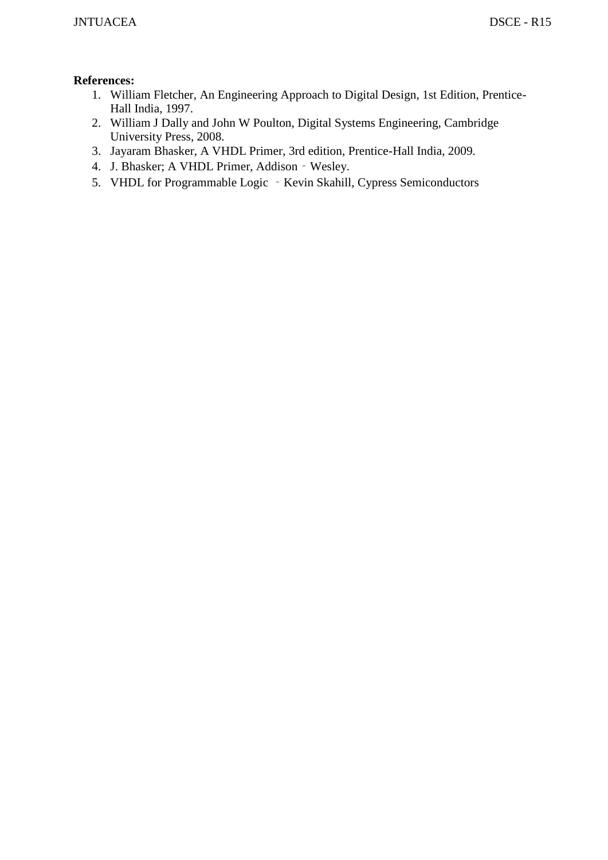- 1. William Fletcher, An Engineering Approach to Digital Design, 1st Edition, Prentice-Hall India, 1997.
- 2. William J Dally and John W Poulton, Digital Systems Engineering, Cambridge University Press, 2008.
- 3. Jayaram Bhasker, A VHDL Primer, 3rd edition, Prentice-Hall India, 2009.
- 4. J. Bhasker; A VHDL Primer, Addison‐Wesley.
- 5. VHDL for Programmable Logic Kevin Skahill, Cypress Semiconductors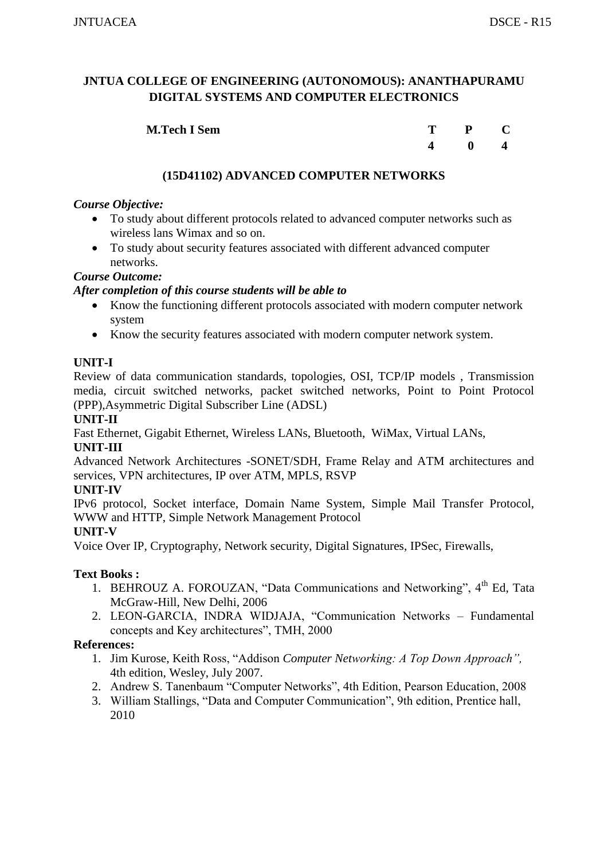| <b>M.Tech I Sem</b> | T – | P C          |  |
|---------------------|-----|--------------|--|
|                     |     | $\mathbf{0}$ |  |

# **(15D41102) ADVANCED COMPUTER NETWORKS**

#### *Course Objective:*

- To study about different protocols related to advanced computer networks such as wireless lans Wimax and so on.
- To study about security features associated with different advanced computer networks.

#### *Course Outcome:*

#### *After completion of this course students will be able to*

- Know the functioning different protocols associated with modern computer network system
- Know the security features associated with modern computer network system.

# **UNIT-I**

Review of data communication standards, topologies, OSI, TCP/IP models , Transmission media, circuit switched networks, packet switched networks, Point to Point Protocol (PPP),Asymmetric Digital Subscriber Line (ADSL)

#### **UNIT-II**

Fast Ethernet, Gigabit Ethernet, Wireless LANs, Bluetooth, WiMax, Virtual LANs,

#### **UNIT-III**

Advanced Network Architectures -SONET/SDH, Frame Relay and ATM architectures and services, VPN architectures, IP over ATM, MPLS, RSVP

#### **UNIT-IV**

IPv6 protocol, Socket interface, Domain Name System, Simple Mail Transfer Protocol, WWW and HTTP, Simple Network Management Protocol

#### **UNIT-V**

Voice Over IP, Cryptography, Network security, Digital Signatures, IPSec, Firewalls,

#### **Text Books :**

- 1. BEHROUZ A. FOROUZAN, "Data Communications and Networking", 4<sup>th</sup> Ed. Tata McGraw-Hill, New Delhi, 2006
- 2. LEON-GARCIA, INDRA WIDJAJA, "Communication Networks Fundamental concepts and Key architectures", TMH, 2000

- 1. Jim Kurose, Keith Ross, "Addison *Computer Networking: A Top Down Approach",*  4th edition, Wesley, July 2007.
- 2. Andrew S. Tanenbaum "Computer Networks", 4th Edition, Pearson Education, 2008
- 3. William Stallings, "Data and Computer Communication", 9th edition, Prentice hall, 2010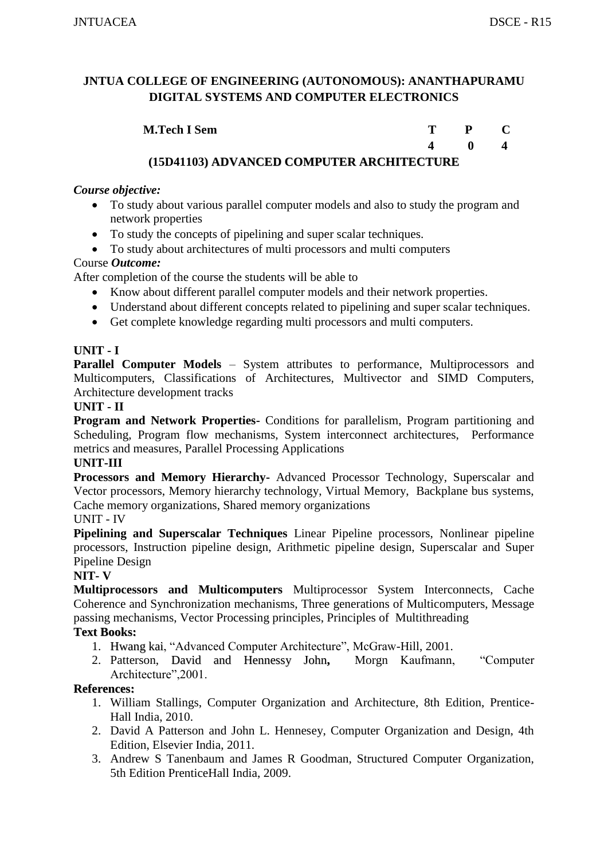| <b>M.Tech I Sem</b>                              |  |  |
|--------------------------------------------------|--|--|
|                                                  |  |  |
| <i>(15D11102) ADVANCED COMDUTED ADCHUTECTUDE</i> |  |  |

# **(15D41103) ADVANCED COMPUTER ARCHITECTURE**

#### *Course objective:*

- To study about various parallel computer models and also to study the program and network properties
- To study the concepts of pipelining and super scalar techniques.
- To study about architectures of multi processors and multi computers

# Course *Outcome:*

After completion of the course the students will be able to

- Know about different parallel computer models and their network properties.
- Understand about different concepts related to pipelining and super scalar techniques.
- Get complete knowledge regarding multi processors and multi computers.

# **UNIT - I**

**Parallel Computer Models** – System attributes to performance, Multiprocessors and Multicomputers, Classifications of Architectures, Multivector and SIMD Computers, Architecture development tracks

# **UNIT - II**

**Program and Network Properties-** Conditions for parallelism, Program partitioning and Scheduling, Program flow mechanisms, System interconnect architectures, Performance metrics and measures, Parallel Processing Applications

#### **UNIT-III**

**Processors and Memory Hierarchy-** Advanced Processor Technology, Superscalar and Vector processors, Memory hierarchy technology, Virtual Memory, Backplane bus systems, Cache memory organizations, Shared memory organizations

# UNIT - IV

**Pipelining and Superscalar Techniques** Linear Pipeline processors, Nonlinear pipeline processors, Instruction pipeline design, Arithmetic pipeline design, Superscalar and Super Pipeline Design

#### **NIT- V**

**Multiprocessors and Multicomputers** Multiprocessor System Interconnects, Cache Coherence and Synchronization mechanisms, Three generations of Multicomputers, Message passing mechanisms, Vector Processing principles, Principles of Multithreading

# **Text Books:**

- 1. Hwang kai, "Advanced Computer Architecture", McGraw-Hill, 2001.
- 2. Patterson, David and Hennessy John**,** Morgn Kaufmann, "Computer Architecture",2001.

- 1. William Stallings, Computer Organization and Architecture, 8th Edition, Prentice-Hall India, 2010.
- 2. David A Patterson and John L. Hennesey, Computer Organization and Design, 4th Edition, Elsevier India, 2011.
- 3. Andrew S Tanenbaum and James R Goodman, Structured Computer Organization, 5th Edition PrenticeHall India, 2009.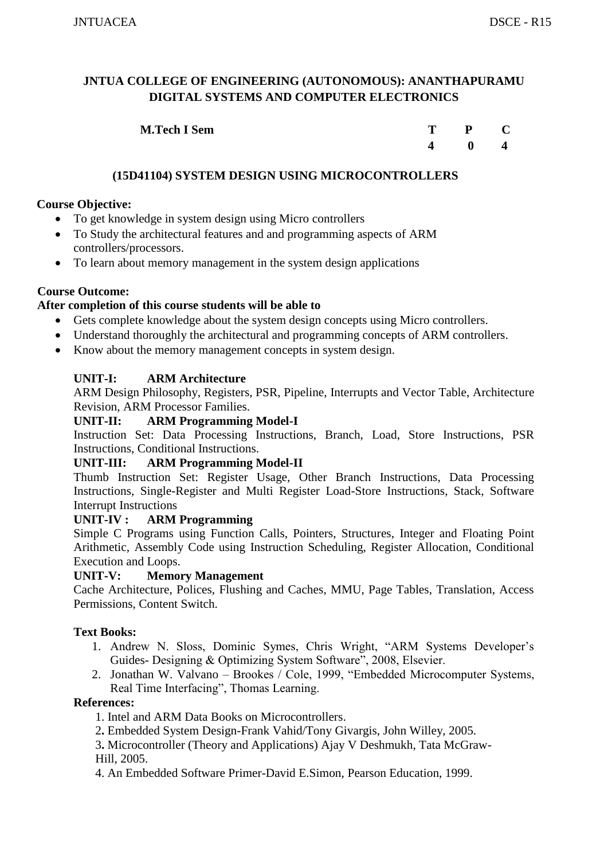| <b>M.Tech I Sem</b> | $P$ C        |  |
|---------------------|--------------|--|
|                     | $\mathbf{0}$ |  |

# **(15D41104) SYSTEM DESIGN USING MICROCONTROLLERS**

# **Course Objective:**

- To get knowledge in system design using Micro controllers
- To Study the architectural features and and programming aspects of ARM controllers/processors.
- To learn about memory management in the system design applications

#### **Course Outcome:**

#### **After completion of this course students will be able to**

- Gets complete knowledge about the system design concepts using Micro controllers.
- Understand thoroughly the architectural and programming concepts of ARM controllers.
- Know about the memory management concepts in system design.

#### **UNIT-I: ARM Architecture**

ARM Design Philosophy, Registers, PSR, Pipeline, Interrupts and Vector Table, Architecture Revision, ARM Processor Families.

#### **UNIT-II: ARM Programming Model-I**

Instruction Set: Data Processing Instructions, Branch, Load, Store Instructions, PSR Instructions, Conditional Instructions.

#### **UNIT-III: ARM Programming Model-II**

Thumb Instruction Set: Register Usage, Other Branch Instructions, Data Processing Instructions, Single-Register and Multi Register Load-Store Instructions, Stack, Software Interrupt Instructions

#### **UNIT-IV : ARM Programming**

Simple C Programs using Function Calls, Pointers, Structures, Integer and Floating Point Arithmetic, Assembly Code using Instruction Scheduling, Register Allocation, Conditional Execution and Loops.

#### **UNIT-V: Memory Management**

Cache Architecture, Polices, Flushing and Caches, MMU, Page Tables, Translation, Access Permissions, Content Switch.

#### **Text Books:**

- 1. Andrew N. Sloss, Dominic Symes, Chris Wright, "ARM Systems Developer's Guides- Designing & Optimizing System Software", 2008, Elsevier.
- 2. Jonathan W. Valvano Brookes / Cole, 1999, "Embedded Microcomputer Systems, Real Time Interfacing", Thomas Learning.

- 1. Intel and ARM Data Books on Microcontrollers.
- 2**.** Embedded System Design-Frank Vahid/Tony Givargis, John Willey, 2005.
- 3**.** Microcontroller (Theory and Applications) Ajay V Deshmukh, Tata McGraw-Hill, 2005.
- 4. An Embedded Software Primer-David E.Simon, Pearson Education, 1999.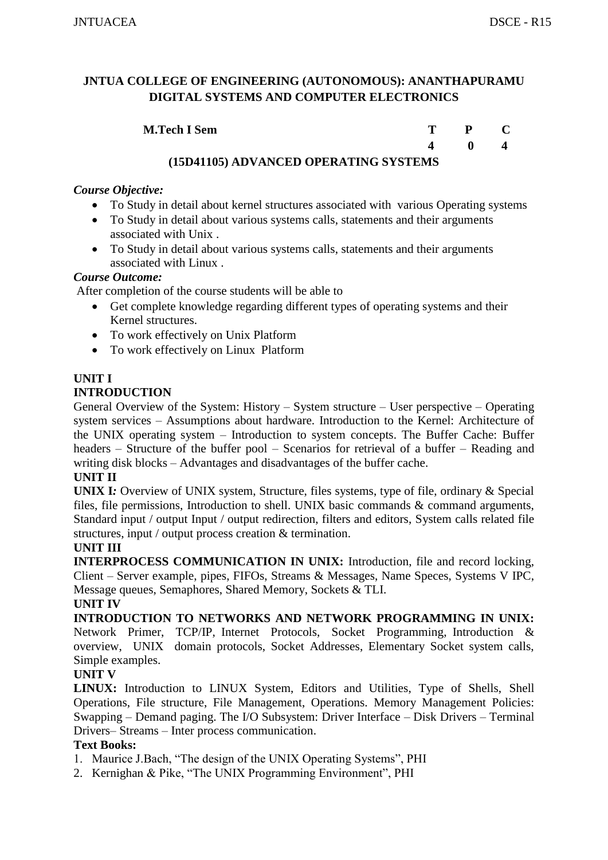| <b>M.Tech I Sem</b>                             | $\mathbf{P}$ |  |
|-------------------------------------------------|--------------|--|
|                                                 | $\mathbf{0}$ |  |
| $(4EN 4440E)$ A DIZANGER OBER A BINIO GUGBEN 10 |              |  |

# **(15D41105) ADVANCED OPERATING SYSTEMS**

# *Course Objective:*

- To Study in detail about kernel structures associated with various Operating systems
- To Study in detail about various systems calls, statements and their arguments associated with Unix .
- To Study in detail about various systems calls, statements and their arguments associated with Linux .

#### *Course Outcome:*

After completion of the course students will be able to

- Get complete knowledge regarding different types of operating systems and their Kernel structures.
- To work effectively on Unix Platform
- To work effectively on Linux Platform

# **UNIT I**

# **INTRODUCTION**

General Overview of the System: History – System structure – User perspective – Operating system services – Assumptions about hardware. Introduction to the Kernel: Architecture of the UNIX operating system – Introduction to system concepts. The Buffer Cache: Buffer headers – Structure of the buffer pool – Scenarios for retrieval of a buffer – Reading and writing disk blocks – Advantages and disadvantages of the buffer cache.

#### **UNIT II**

**UNIX I***:* Overview of UNIX system, Structure, files systems, type of file, ordinary & Special files, file permissions, Introduction to shell. UNIX basic commands & command arguments, Standard input / output Input / output redirection, filters and editors, System calls related file structures, input / output process creation & termination.

# **UNIT III**

**INTERPROCESS COMMUNICATION IN UNIX:** Introduction, file and record locking, Client – Server example, pipes, FIFOs, Streams & Messages, Name Speces, Systems V IPC, Message queues, Semaphores, Shared Memory, Sockets & TLI.

#### **UNIT IV**

**INTRODUCTION TO NETWORKS AND NETWORK PROGRAMMING IN UNIX:**  Network Primer, TCP/IP, Internet Protocols, Socket Programming, Introduction & overview, UNIX domain protocols, Socket Addresses, Elementary Socket system calls, Simple examples.

# **UNIT V**

**LINUX:** Introduction to LINUX System, Editors and Utilities, Type of Shells, Shell Operations, File structure, File Management, Operations. Memory Management Policies: Swapping – Demand paging. The I/O Subsystem: Driver Interface – Disk Drivers – Terminal Drivers– Streams – Inter process communication.

# **Text Books:**

- 1. Maurice J.Bach, "The design of the UNIX Operating Systems", PHI
- 2. Kernighan & Pike, "The UNIX Programming Environment", PHI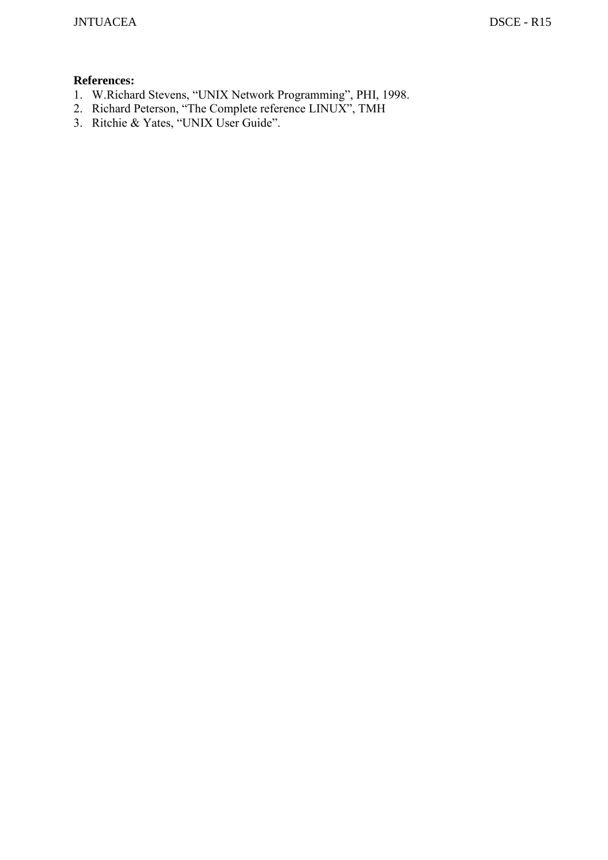- 1. W.Richard Stevens, "UNIX Network Programming", PHI, 1998.
- 2. Richard Peterson, "The Complete reference LINUX", TMH
- 3. Ritchie & Yates, "UNIX User Guide".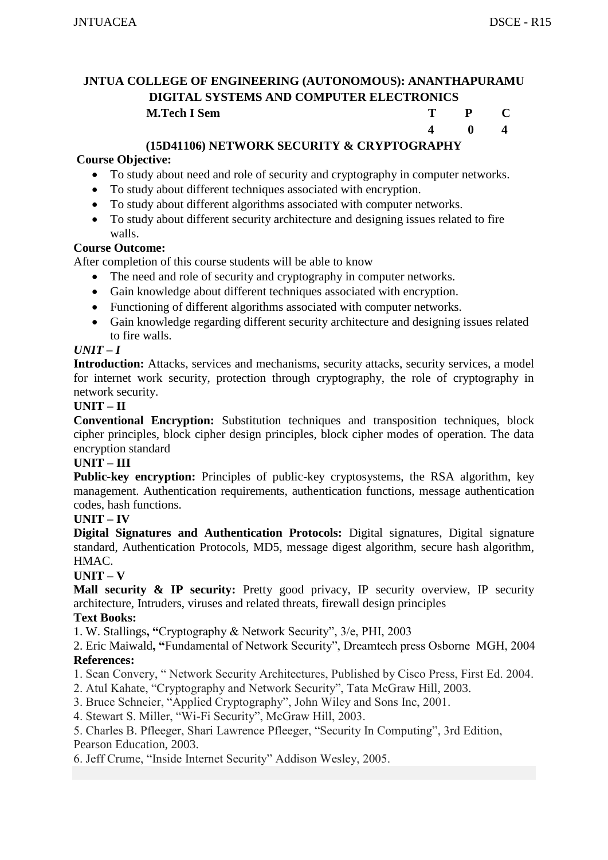**4 0 4** 

# **JNTUA COLLEGE OF ENGINEERING (AUTONOMOUS): ANANTHAPURAMU DIGITAL SYSTEMS AND COMPUTER ELECTRONICS M.Tech I Sem T P C**

# **(15D41106) NETWORK SECURITY & CRYPTOGRAPHY**

#### **Course Objective:**

- To study about need and role of security and cryptography in computer networks.
- To study about different techniques associated with encryption.
- To study about different algorithms associated with computer networks.
- To study about different security architecture and designing issues related to fire walls.

#### **Course Outcome:**

After completion of this course students will be able to know

- The need and role of security and cryptography in computer networks.
- Gain knowledge about different techniques associated with encryption.
- Functioning of different algorithms associated with computer networks.
- Gain knowledge regarding different security architecture and designing issues related to fire walls.

#### $UNIT-I$

**Introduction:** Attacks, services and mechanisms, security attacks, security services, a model for internet work security, protection through cryptography, the role of cryptography in network security.

#### **UNIT – II**

**Conventional Encryption:** Substitution techniques and transposition techniques, block cipher principles, block cipher design principles, block cipher modes of operation. The data encryption standard

#### **UNIT – III**

**Public-key encryption:** Principles of public-key cryptosystems, the RSA algorithm, key management. Authentication requirements, authentication functions, message authentication codes, hash functions.

#### **UNIT – IV**

**Digital Signatures and Authentication Protocols:** Digital signatures, Digital signature standard, Authentication Protocols, MD5, message digest algorithm, secure hash algorithm, HMAC.

#### **UNIT – V**

**Mall security & IP security:** Pretty good privacy, IP security overview, IP security architecture, Intruders, viruses and related threats, firewall design principles

#### **Text Books:**

1. W. Stallings**, "**Cryptography & Network Security", 3/e, PHI, 2003

2. Eric Maiwald**, "**Fundamental of Network Security", Dreamtech press Osborne MGH, 2004 **References:**

- 1. Sean Convery, " Network Security Architectures, Published by Cisco Press, First Ed. 2004.
- 2. Atul Kahate, "Cryptography and Network Security", Tata McGraw Hill, 2003.

3. Bruce Schneier, "Applied Cryptography", John Wiley and Sons Inc, 2001.

4. Stewart S. Miller, "Wi-Fi Security", McGraw Hill, 2003.

5. Charles B. Pfleeger, Shari Lawrence Pfleeger, "Security In Computing", 3rd Edition, Pearson Education, 2003.

6. Jeff Crume, "Inside Internet Security" Addison Wesley, 2005.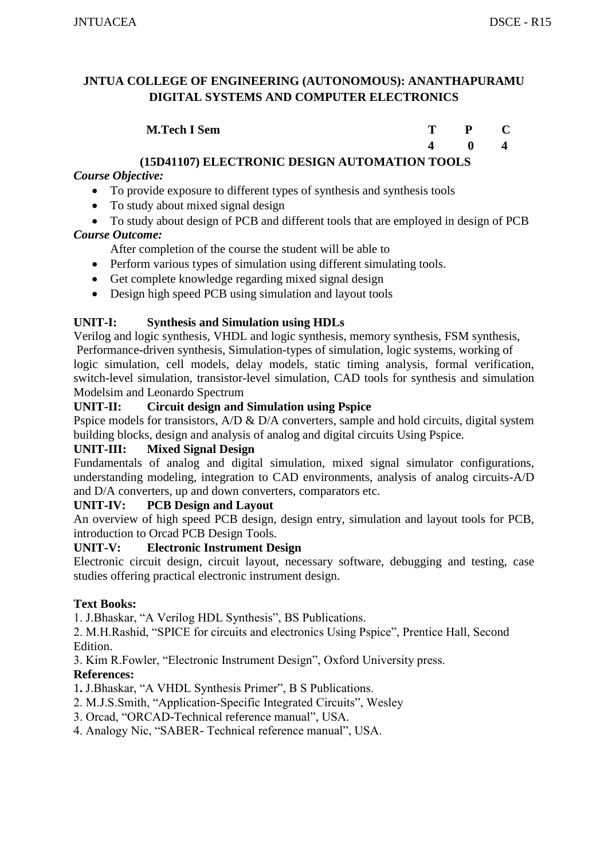| <b>M.Tech I Sem</b> | $\mathbf{p}$ |  |
|---------------------|--------------|--|
|                     | 0            |  |

# **(15D41107) ELECTRONIC DESIGN AUTOMATION TOOLS**

# *Course Objective:*

- To provide exposure to different types of synthesis and synthesis tools
- To study about mixed signal design
- To study about design of PCB and different tools that are employed in design of PCB *Course Outcome:*
	- After completion of the course the student will be able to
	- Perform various types of simulation using different simulating tools.
	- Get complete knowledge regarding mixed signal design
	- Design high speed PCB using simulation and layout tools

# **UNIT-I: Synthesis and Simulation using HDLs**

Verilog and logic synthesis, VHDL and logic synthesis, memory synthesis, FSM synthesis, Performance-driven synthesis, Simulation-types of simulation, logic systems, working of logic simulation, cell models, delay models, static timing analysis, formal verification, switch-level simulation, transistor-level simulation, CAD tools for synthesis and simulation Modelsim and Leonardo Spectrum

# **UNIT-II: Circuit design and Simulation using Pspice**

Pspice models for transistors, A/D & D/A converters, sample and hold circuits, digital system building blocks, design and analysis of analog and digital circuits Using Pspice.

# **UNIT-III: Mixed Signal Design**

Fundamentals of analog and digital simulation, mixed signal simulator configurations, understanding modeling, integration to CAD environments, analysis of analog circuits-A/D and D/A converters, up and down converters, comparators etc.

# **UNIT-IV: PCB Design and Layout**

An overview of high speed PCB design, design entry, simulation and layout tools for PCB, introduction to Orcad PCB Design Tools.

# **UNIT-V: Electronic Instrument Design**

Electronic circuit design, circuit layout, necessary software, debugging and testing, case studies offering practical electronic instrument design.

# **Text Books:**

1. J.Bhaskar, "A Verilog HDL Synthesis", BS Publications.

2. M.H.Rashid, "SPICE for circuits and electronics Using Pspice", Prentice Hall, Second Edition.

3. Kim R.Fowler, "Electronic Instrument Design", Oxford University press.

# **References:**

1**.** J.Bhaskar, "A VHDL Synthesis Primer", B S Publications.

- 2. M.J.S.Smith, "Application-Specific Integrated Circuits", Wesley
- 3. Orcad, "ORCAD-Technical reference manual", USA.
- 4. Analogy Nic, "SABER- Technical reference manual", USA.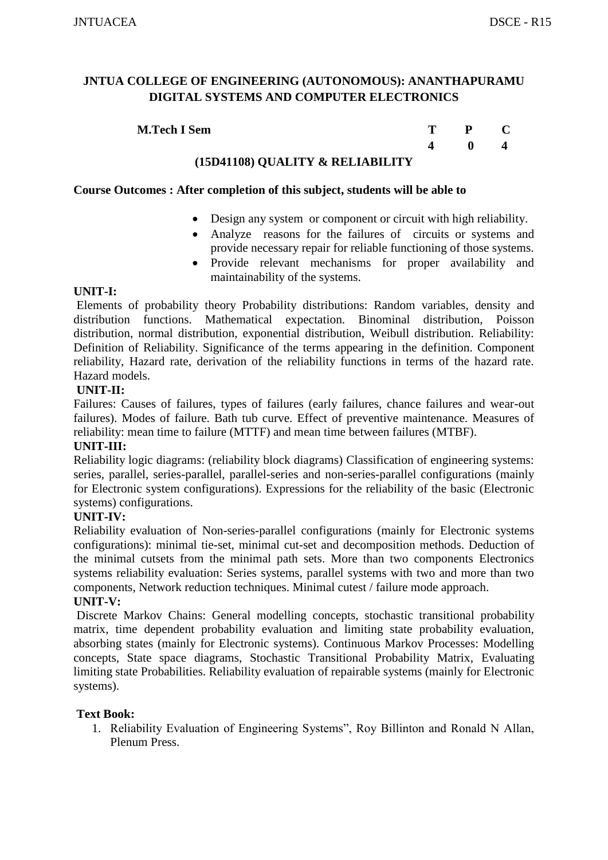**M.Tech I Sem T P C 4 0 4** 

# **(15D41108) QUALITY & RELIABILITY**

#### **Course Outcomes : After completion of this subject, students will be able to**

- Design any system or component or circuit with high reliability.
- Analyze reasons for the failures of circuits or systems and provide necessary repair for reliable functioning of those systems.
- Provide relevant mechanisms for proper availability and maintainability of the systems.

#### **UNIT-I:**

Elements of probability theory Probability distributions: Random variables, density and distribution functions. Mathematical expectation. Binominal distribution, Poisson distribution, normal distribution, exponential distribution, Weibull distribution. Reliability: Definition of Reliability. Significance of the terms appearing in the definition. Component reliability, Hazard rate, derivation of the reliability functions in terms of the hazard rate. Hazard models.

#### **UNIT-II:**

Failures: Causes of failures, types of failures (early failures, chance failures and wear-out failures). Modes of failure. Bath tub curve. Effect of preventive maintenance. Measures of reliability: mean time to failure (MTTF) and mean time between failures (MTBF).

#### **UNIT-III:**

Reliability logic diagrams: (reliability block diagrams) Classification of engineering systems: series, parallel, series-parallel, parallel-series and non-series-parallel configurations (mainly for Electronic system configurations). Expressions for the reliability of the basic (Electronic systems) configurations.

#### **UNIT-IV:**

Reliability evaluation of Non-series-parallel configurations (mainly for Electronic systems configurations): minimal tie-set, minimal cut-set and decomposition methods. Deduction of the minimal cutsets from the minimal path sets. More than two components Electronics systems reliability evaluation: Series systems, parallel systems with two and more than two components, Network reduction techniques. Minimal cutest / failure mode approach.

#### **UNIT-V:**

Discrete Markov Chains: General modelling concepts, stochastic transitional probability matrix, time dependent probability evaluation and limiting state probability evaluation, absorbing states (mainly for Electronic systems). Continuous Markov Processes: Modelling concepts, State space diagrams, Stochastic Transitional Probability Matrix, Evaluating limiting state Probabilities. Reliability evaluation of repairable systems (mainly for Electronic systems).

#### **Text Book:**

1. Reliability Evaluation of Engineering Systems", Roy Billinton and Ronald N Allan, Plenum Press.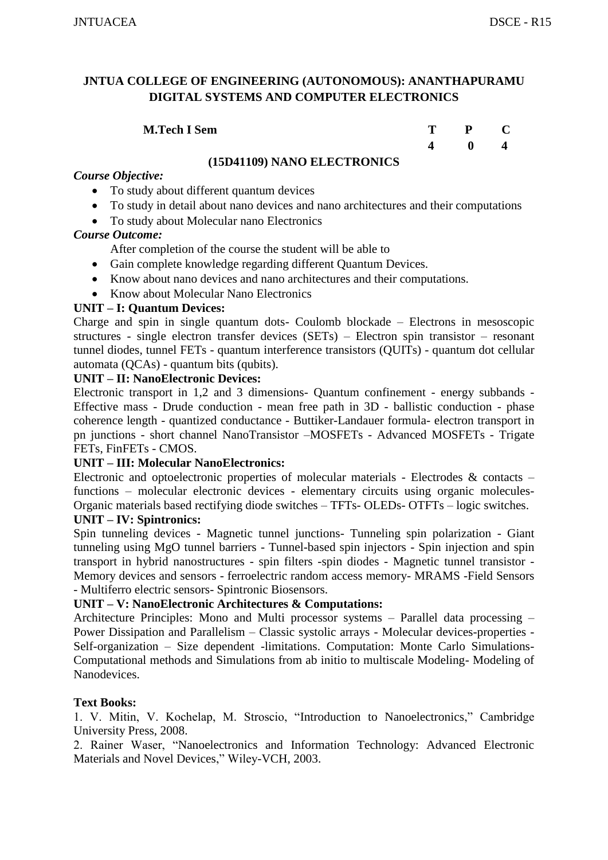#### **M.Tech I Sem**

| T | $\mathbf{P}$ | $\mathbf C$             |
|---|--------------|-------------------------|
| 4 | $\bf{0}$     | $\overline{\mathbf{4}}$ |

# **(15D41109) NANO ELECTRONICS**

# *Course Objective:*

- To study about different quantum devices
- To study in detail about nano devices and nano architectures and their computations
- To study about Molecular nano Electronics

#### *Course Outcome:*

After completion of the course the student will be able to

- Gain complete knowledge regarding different Quantum Devices.
- Know about nano devices and nano architectures and their computations.
- Know about Molecular Nano Electronics

#### **UNIT – I: Quantum Devices:**

Charge and spin in single quantum dots- Coulomb blockade – Electrons in mesoscopic structures - single electron transfer devices (SETs) – Electron spin transistor – resonant tunnel diodes, tunnel FETs - quantum interference transistors (QUITs) - quantum dot cellular automata (QCAs) - quantum bits (qubits).

#### **UNIT – II: NanoElectronic Devices:**

Electronic transport in 1,2 and 3 dimensions- Quantum confinement - energy subbands - Effective mass - Drude conduction - mean free path in 3D - ballistic conduction - phase coherence length - quantized conductance - Buttiker-Landauer formula- electron transport in pn junctions - short channel NanoTransistor –MOSFETs - Advanced MOSFETs - Trigate FETs, FinFETs - CMOS.

#### **UNIT – III: Molecular NanoElectronics:**

Electronic and optoelectronic properties of molecular materials - Electrodes  $\&$  contacts – functions – molecular electronic devices - elementary circuits using organic molecules-Organic materials based rectifying diode switches – TFTs- OLEDs- OTFTs – logic switches. **UNIT – IV: Spintronics:**

Spin tunneling devices - Magnetic tunnel junctions- Tunneling spin polarization - Giant tunneling using MgO tunnel barriers - Tunnel-based spin injectors - Spin injection and spin transport in hybrid nanostructures - spin filters -spin diodes - Magnetic tunnel transistor - Memory devices and sensors - ferroelectric random access memory- MRAMS -Field Sensors - Multiferro electric sensors- Spintronic Biosensors.

#### **UNIT – V: NanoElectronic Architectures & Computations:**

Architecture Principles: Mono and Multi processor systems – Parallel data processing – Power Dissipation and Parallelism – Classic systolic arrays - Molecular devices-properties - Self-organization – Size dependent -limitations. Computation: Monte Carlo Simulations-Computational methods and Simulations from ab initio to multiscale Modeling- Modeling of Nanodevices.

#### **Text Books:**

1. V. Mitin, V. Kochelap, M. Stroscio, "Introduction to Nanoelectronics," Cambridge University Press, 2008.

2. Rainer Waser, "Nanoelectronics and Information Technology: Advanced Electronic Materials and Novel Devices," Wiley-VCH, 2003.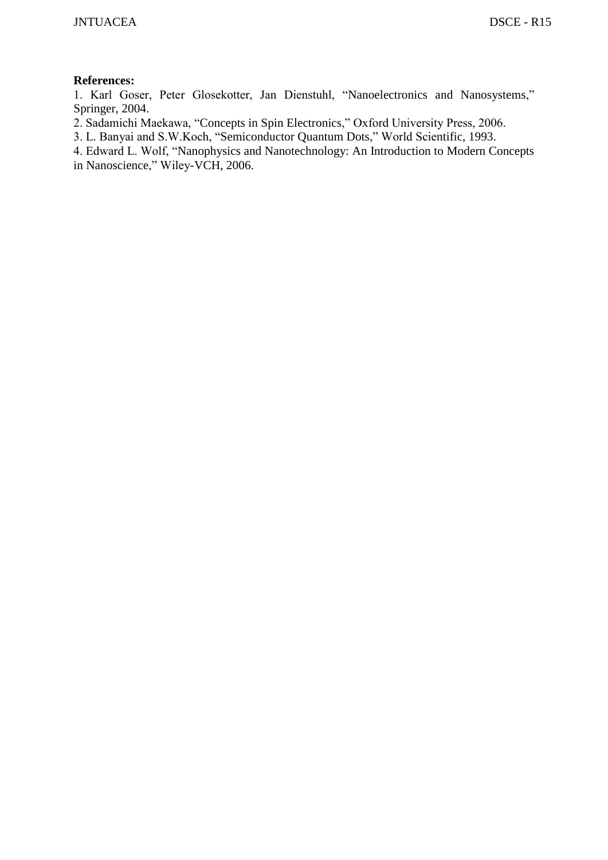#### **References:**

1. Karl Goser, Peter Glosekotter, Jan Dienstuhl, "Nanoelectronics and Nanosystems," Springer, 2004.

- 2. Sadamichi Maekawa, "Concepts in Spin Electronics," Oxford University Press, 2006.
- 3. L. Banyai and S.W.Koch, "Semiconductor Quantum Dots," World Scientific, 1993.
- 4. Edward L. Wolf, "Nanophysics and Nanotechnology: An Introduction to Modern Concepts in Nanoscience," Wiley-VCH, 2006.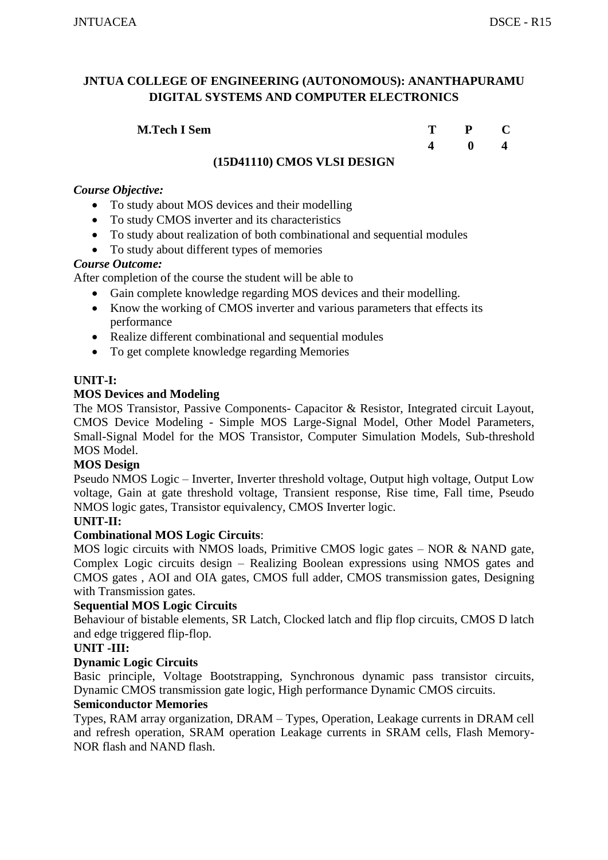| <b>M.Tech I Sem</b> | $P$ C |                               |
|---------------------|-------|-------------------------------|
|                     |       | $\mathbf{0}$ and $\mathbf{0}$ |

# **(15D41110) CMOS VLSI DESIGN**

#### *Course Objective:*

- To study about MOS devices and their modelling
- To study CMOS inverter and its characteristics
- To study about realization of both combinational and sequential modules
- To study about different types of memories

#### *Course Outcome:*

After completion of the course the student will be able to

- Gain complete knowledge regarding MOS devices and their modelling.
- Know the working of CMOS inverter and various parameters that effects its performance
- Realize different combinational and sequential modules
- To get complete knowledge regarding Memories

#### **UNIT-I:**

#### **MOS Devices and Modeling**

The MOS Transistor, Passive Components- Capacitor & Resistor, Integrated circuit Layout, CMOS Device Modeling - Simple MOS Large-Signal Model, Other Model Parameters, Small-Signal Model for the MOS Transistor, Computer Simulation Models, Sub-threshold MOS Model.

#### **MOS Design**

Pseudo NMOS Logic – Inverter, Inverter threshold voltage, Output high voltage, Output Low voltage, Gain at gate threshold voltage, Transient response, Rise time, Fall time, Pseudo NMOS logic gates, Transistor equivalency, CMOS Inverter logic.

# **UNIT-II:**

#### **Combinational MOS Logic Circuits**:

MOS logic circuits with NMOS loads, Primitive CMOS logic gates – NOR & NAND gate, Complex Logic circuits design – Realizing Boolean expressions using NMOS gates and CMOS gates , AOI and OIA gates, CMOS full adder, CMOS transmission gates, Designing with Transmission gates.

#### **Sequential MOS Logic Circuits**

Behaviour of bistable elements, SR Latch, Clocked latch and flip flop circuits, CMOS D latch and edge triggered flip-flop.

# **UNIT -III:**

#### **Dynamic Logic Circuits**

Basic principle, Voltage Bootstrapping, Synchronous dynamic pass transistor circuits, Dynamic CMOS transmission gate logic, High performance Dynamic CMOS circuits.

# **Semiconductor Memories**

Types, RAM array organization, DRAM – Types, Operation, Leakage currents in DRAM cell and refresh operation, SRAM operation Leakage currents in SRAM cells, Flash Memory-NOR flash and NAND flash.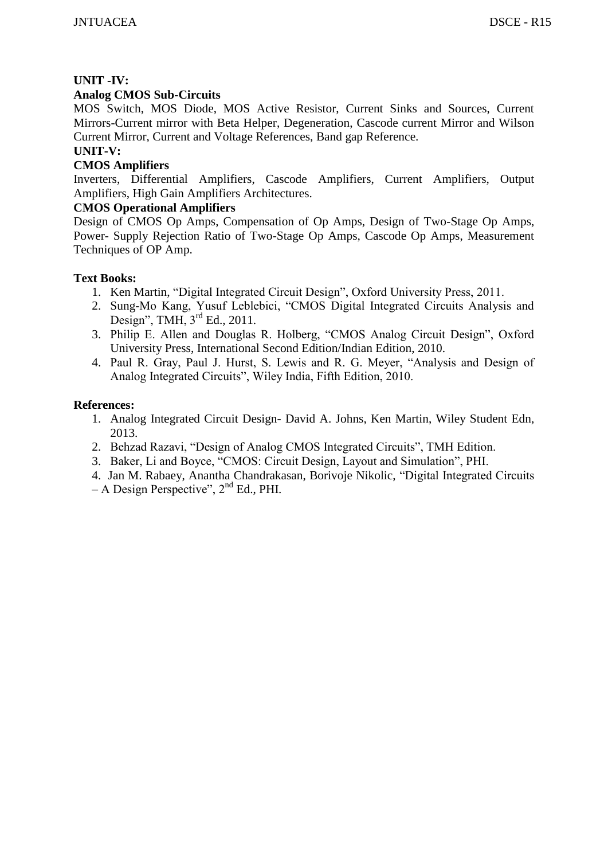# **UNIT -IV:**

# **Analog CMOS Sub-Circuits**

MOS Switch, MOS Diode, MOS Active Resistor, Current Sinks and Sources, Current Mirrors-Current mirror with Beta Helper, Degeneration, Cascode current Mirror and Wilson Current Mirror, Current and Voltage References, Band gap Reference.

# **UNIT-V:**

# **CMOS Amplifiers**

Inverters, Differential Amplifiers, Cascode Amplifiers, Current Amplifiers, Output Amplifiers, High Gain Amplifiers Architectures.

# **CMOS Operational Amplifiers**

Design of CMOS Op Amps, Compensation of Op Amps, Design of Two-Stage Op Amps, Power- Supply Rejection Ratio of Two-Stage Op Amps, Cascode Op Amps, Measurement Techniques of OP Amp.

#### **Text Books:**

- 1. Ken Martin, "Digital Integrated Circuit Design", Oxford University Press, 2011.
- 2. Sung-Mo Kang, Yusuf Leblebici, "CMOS Digital Integrated Circuits Analysis and Design", TMH,  $3<sup>rd</sup>$  Ed., 2011.
- 3. Philip E. Allen and Douglas R. Holberg, "CMOS Analog Circuit Design", Oxford University Press, International Second Edition/Indian Edition, 2010.
- 4. Paul R. Gray, Paul J. Hurst, S. Lewis and R. G. Meyer, "Analysis and Design of Analog Integrated Circuits", Wiley India, Fifth Edition, 2010.

- 1. Analog Integrated Circuit Design- David A. Johns, Ken Martin, Wiley Student Edn, 2013.
- 2. Behzad Razavi, "Design of Analog CMOS Integrated Circuits", TMH Edition.
- 3. Baker, Li and Boyce, "CMOS: Circuit Design, Layout and Simulation", PHI.
- 4. Jan M. Rabaey, Anantha Chandrakasan, Borivoje Nikolic, "Digital Integrated Circuits  $-$  A Design Perspective",  $2<sup>nd</sup>$  Ed., PHI.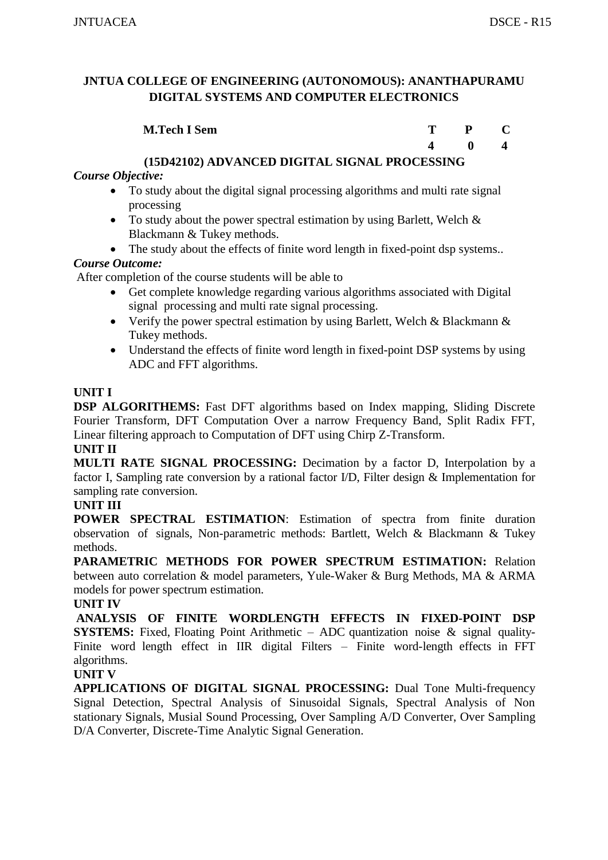| <b>M.Tech I Sem</b> | T. | $P$ C        |  |
|---------------------|----|--------------|--|
|                     |    | $\mathbf{0}$ |  |

#### **(15D42102) ADVANCED DIGITAL SIGNAL PROCESSING**

# *Course Objective:*

- To study about the digital signal processing algorithms and multi rate signal processing
- To study about the power spectral estimation by using Barlett, Welch & Blackmann & Tukey methods.
- The study about the effects of finite word length in fixed-point dsp systems..

# *Course Outcome:*

After completion of the course students will be able to

- Get complete knowledge regarding various algorithms associated with Digital signal processing and multi rate signal processing.
- Verify the power spectral estimation by using Barlett, Welch & Blackmann & Tukey methods.
- Understand the effects of finite word length in fixed-point DSP systems by using ADC and FFT algorithms.

#### **UNIT I**

**DSP ALGORITHEMS:** Fast DFT algorithms based on Index mapping, Sliding Discrete Fourier Transform, DFT Computation Over a narrow Frequency Band, Split Radix FFT, Linear filtering approach to Computation of DFT using Chirp Z-Transform. **UNIT II**

# **MULTI RATE SIGNAL PROCESSING:** Decimation by a factor D, Interpolation by a factor I, Sampling rate conversion by a rational factor I/D, Filter design & Implementation for sampling rate conversion.

#### **UNIT III**

**POWER SPECTRAL ESTIMATION**: Estimation of spectra from finite duration observation of signals, Non-parametric methods: Bartlett, Welch & Blackmann & Tukey methods.

**PARAMETRIC METHODS FOR POWER SPECTRUM ESTIMATION:** Relation between auto correlation & model parameters, Yule-Waker & Burg Methods, MA & ARMA models for power spectrum estimation.

#### **UNIT IV**

**ANALYSIS OF FINITE WORDLENGTH EFFECTS IN FIXED-POINT DSP SYSTEMS:** Fixed, Floating Point Arithmetic – ADC quantization noise & signal quality-Finite word length effect in IIR digital Filters – Finite word-length effects in FFT algorithms.

#### **UNIT V**

**APPLICATIONS OF DIGITAL SIGNAL PROCESSING:** Dual Tone Multi-frequency Signal Detection, Spectral Analysis of Sinusoidal Signals, Spectral Analysis of Non stationary Signals, Musial Sound Processing, Over Sampling A/D Converter, Over Sampling D/A Converter, Discrete-Time Analytic Signal Generation.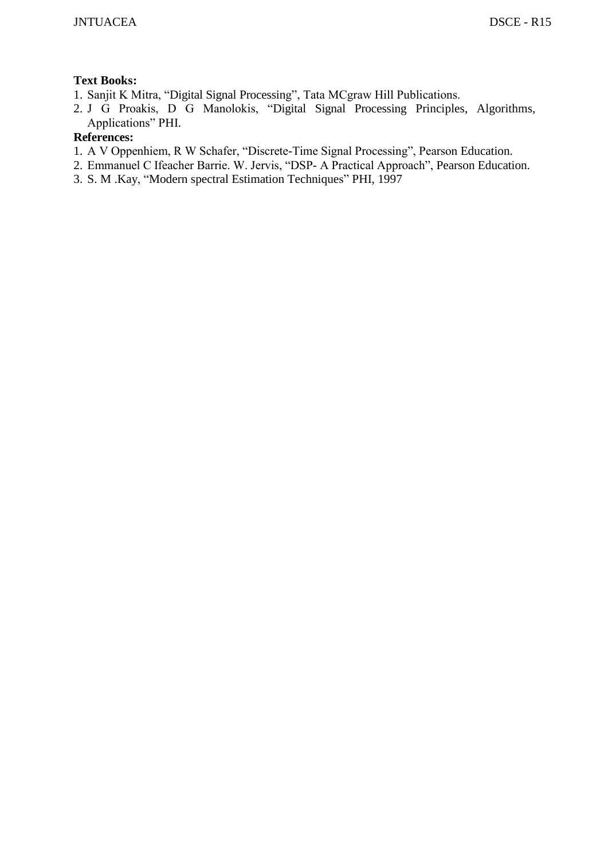# **Text Books:**

- 1. Sanjit K Mitra, "Digital Signal Processing", Tata MCgraw Hill Publications.
- 2. J G Proakis, D G Manolokis, "Digital Signal Processing Principles, Algorithms, Applications" PHI.

- 1. A V Oppenhiem, R W Schafer, "Discrete-Time Signal Processing", Pearson Education.
- 2. Emmanuel C Ifeacher Barrie. W. Jervis, "DSP- A Practical Approach", Pearson Education.
- 3. S. M .Kay, "Modern spectral Estimation Techniques" PHI, 1997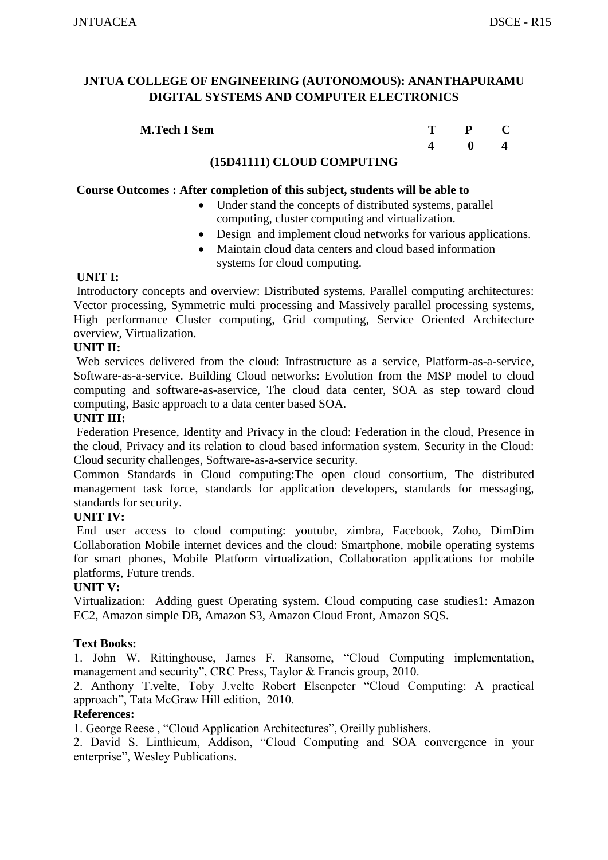| <b>M.Tech I Sem</b> | m | $P$ C        |  |
|---------------------|---|--------------|--|
|                     |   | $\mathbf{0}$ |  |

#### **(15D41111) CLOUD COMPUTING**

#### **Course Outcomes : After completion of this subject, students will be able to**

- Under stand the concepts of distributed systems, parallel computing, cluster computing and virtualization.
- Design and implement cloud networks for various applications.
- Maintain cloud data centers and cloud based information systems for cloud computing.

#### **UNIT I:**

Introductory concepts and overview: Distributed systems, Parallel computing architectures: Vector processing, Symmetric multi processing and Massively parallel processing systems, High performance Cluster computing, Grid computing, Service Oriented Architecture overview, Virtualization.

#### **UNIT II:**

Web services delivered from the cloud: Infrastructure as a service, Platform-as-a-service, Software-as-a-service. Building Cloud networks: Evolution from the MSP model to cloud computing and software-as-aservice, The cloud data center, SOA as step toward cloud computing, Basic approach to a data center based SOA.

#### **UNIT III:**

Federation Presence, Identity and Privacy in the cloud: Federation in the cloud, Presence in the cloud, Privacy and its relation to cloud based information system. Security in the Cloud: Cloud security challenges, Software-as-a-service security.

Common Standards in Cloud computing:The open cloud consortium, The distributed management task force, standards for application developers, standards for messaging, standards for security.

#### **UNIT IV:**

End user access to cloud computing: youtube, zimbra, Facebook, Zoho, DimDim Collaboration Mobile internet devices and the cloud: Smartphone, mobile operating systems for smart phones, Mobile Platform virtualization, Collaboration applications for mobile platforms, Future trends.

#### **UNIT V:**

Virtualization: Adding guest Operating system. Cloud computing case studies1: Amazon EC2, Amazon simple DB, Amazon S3, Amazon Cloud Front, Amazon SQS.

#### **Text Books:**

1. John W. Rittinghouse, James F. Ransome, "Cloud Computing implementation, management and security", CRC Press, Taylor & Francis group, 2010.

2. Anthony T.velte, Toby J.velte Robert Elsenpeter "Cloud Computing: A practical approach", Tata McGraw Hill edition, 2010.

#### **References:**

1. George Reese , "Cloud Application Architectures", Oreilly publishers.

2. David S. Linthicum, Addison, "Cloud Computing and SOA convergence in your enterprise", Wesley Publications.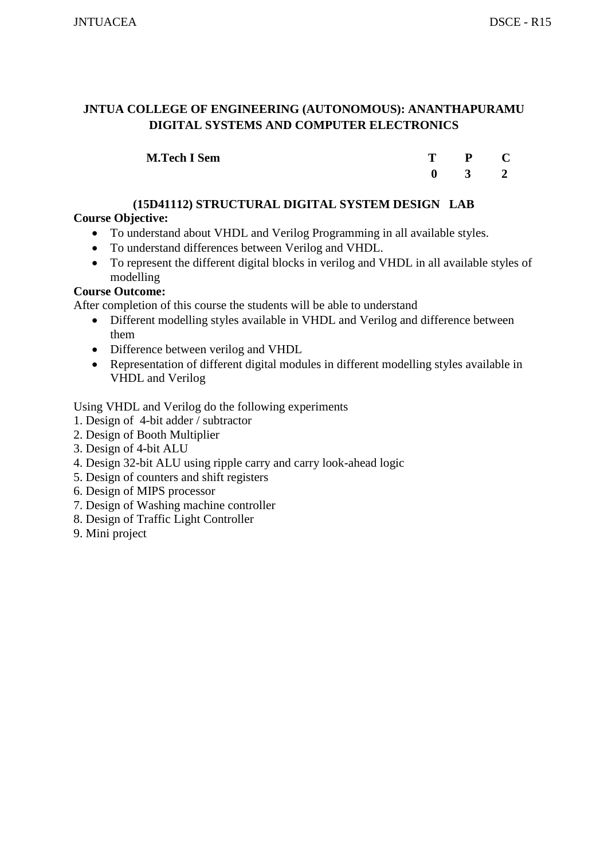| <b>M.Tech I Sem</b> | T P C                                      |  |
|---------------------|--------------------------------------------|--|
|                     | $\begin{array}{ccc} 0 & 3 & 2 \end{array}$ |  |

# **(15D41112) STRUCTURAL DIGITAL SYSTEM DESIGN LAB**

# **Course Objective:**

- To understand about VHDL and Verilog Programming in all available styles.
- To understand differences between Verilog and VHDL.
- To represent the different digital blocks in verilog and VHDL in all available styles of modelling

# **Course Outcome:**

After completion of this course the students will be able to understand

- Different modelling styles available in VHDL and Verilog and difference between them
- Difference between verilog and VHDL
- Representation of different digital modules in different modelling styles available in VHDL and Verilog

Using VHDL and Verilog do the following experiments

- 1. Design of 4-bit adder / subtractor
- 2. Design of Booth Multiplier
- 3. Design of 4-bit ALU
- 4. Design 32-bit ALU using ripple carry and carry look-ahead logic
- 5. Design of counters and shift registers
- 6. Design of MIPS processor
- 7. Design of Washing machine controller
- 8. Design of Traffic Light Controller
- 9. Mini project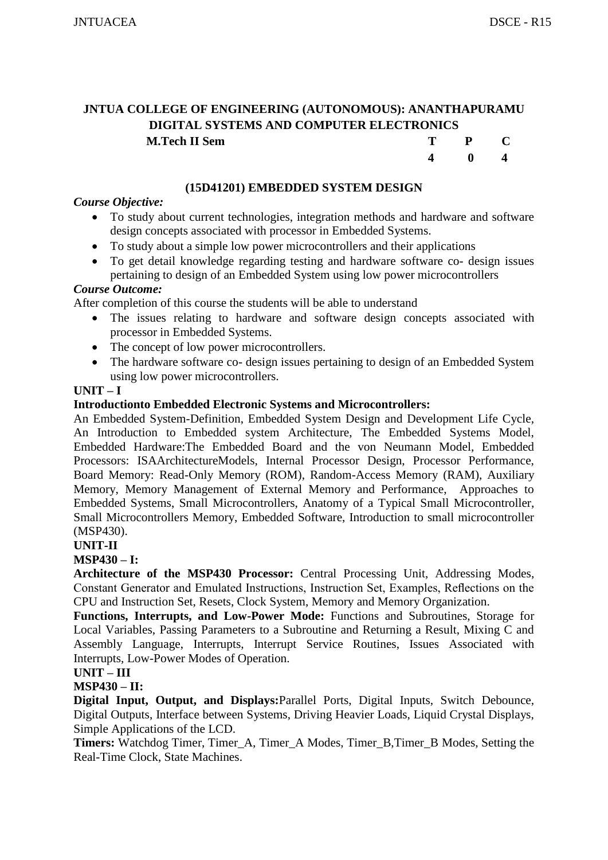**4 0 4** 

# **JNTUA COLLEGE OF ENGINEERING (AUTONOMOUS): ANANTHAPURAMU DIGITAL SYSTEMS AND COMPUTER ELECTRONICS M.Tech II** Sem **T P C**

| (15D41201) EMBEDDED SYSTEM DESIGN |
|-----------------------------------|
|-----------------------------------|

#### *Course Objective:*

- To study about current technologies, integration methods and hardware and software design concepts associated with processor in Embedded Systems.
- To study about a simple low power microcontrollers and their applications
- To get detail knowledge regarding testing and hardware software co- design issues pertaining to design of an Embedded System using low power microcontrollers

#### *Course Outcome:*

After completion of this course the students will be able to understand

- The issues relating to hardware and software design concepts associated with processor in Embedded Systems.
- The concept of low power microcontrollers.
- The hardware software co- design issues pertaining to design of an Embedded System using low power microcontrollers.

#### **UNIT – I**

#### **Introductionto Embedded Electronic Systems and Microcontrollers:**

An Embedded System-Definition, Embedded System Design and Development Life Cycle, An Introduction to Embedded system Architecture, The Embedded Systems Model, Embedded Hardware:The Embedded Board and the von Neumann Model, Embedded Processors: ISAArchitectureModels, Internal Processor Design, Processor Performance, Board Memory: Read-Only Memory (ROM), Random-Access Memory (RAM), Auxiliary Memory, Memory Management of External Memory and Performance, Approaches to Embedded Systems, Small Microcontrollers, Anatomy of a Typical Small Microcontroller, Small Microcontrollers Memory, Embedded Software, Introduction to small microcontroller (MSP430).

#### **UNIT-II**

#### **MSP430 – I:**

**Architecture of the MSP430 Processor:** Central Processing Unit, Addressing Modes, Constant Generator and Emulated Instructions, Instruction Set, Examples, Reflections on the CPU and Instruction Set, Resets, Clock System, Memory and Memory Organization.

**Functions, Interrupts, and Low-Power Mode:** Functions and Subroutines, Storage for Local Variables, Passing Parameters to a Subroutine and Returning a Result, Mixing C and Assembly Language, Interrupts, Interrupt Service Routines, Issues Associated with Interrupts, Low-Power Modes of Operation.

# **UNIT – III**

# **MSP430 – II:**

**Digital Input, Output, and Displays:**Parallel Ports, Digital Inputs, Switch Debounce, Digital Outputs, Interface between Systems, Driving Heavier Loads, Liquid Crystal Displays, Simple Applications of the LCD.

**Timers:** Watchdog Timer, Timer<sub>A</sub>, Timer<sub>A</sub> Modes, Timer<sub>B</sub>, Timer<sub>B</sub> Modes, Setting the Real-Time Clock, State Machines.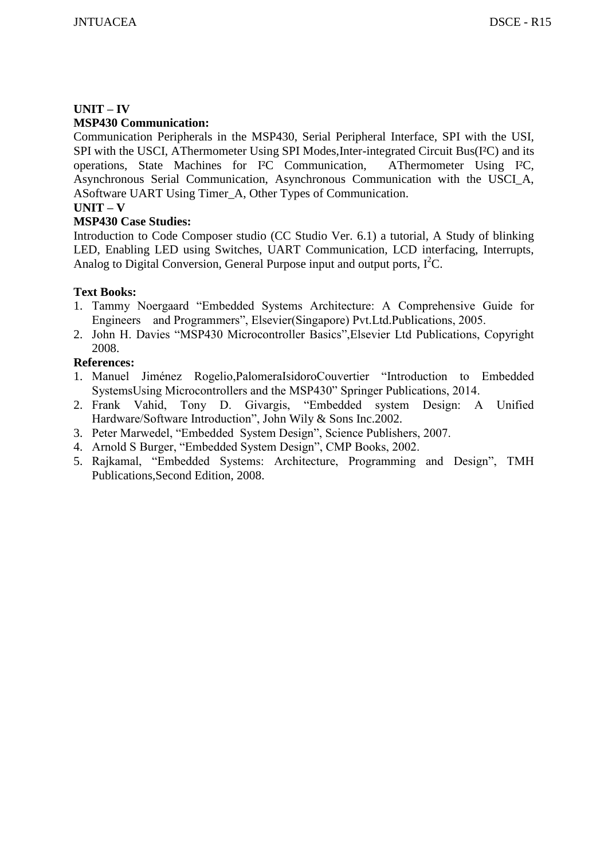# **UNIT – IV**

# **MSP430 Communication:**

Communication Peripherals in the MSP430, Serial Peripheral Interface, SPI with the USI, SPI with the USCI, AThermometer Using SPI Modes,Inter-integrated Circuit Bus(I²C) and its operations, State Machines for I²C Communication, AThermometer Using I²C, Asynchronous Serial Communication, Asynchronous Communication with the USCI\_A, ASoftware UART Using Timer\_A, Other Types of Communication.

# **UNIT – V**

# **MSP430 Case Studies:**

Introduction to Code Composer studio (CC Studio Ver. 6.1) a tutorial, A Study of blinking LED, Enabling LED using Switches, UART Communication, LCD interfacing, Interrupts, Analog to Digital Conversion, General Purpose input and output ports,  $I^2C$ .

# **Text Books:**

- 1. Tammy Noergaard "Embedded Systems Architecture: A Comprehensive Guide for Engineers and Programmers", Elsevier(Singapore) Pvt.Ltd.Publications, 2005.
- 2. John H. Davies "MSP430 Microcontroller Basics",Elsevier Ltd Publications, Copyright 2008.

- 1. Manuel Jiménez Rogelio,PalomeraIsidoroCouvertier "Introduction to Embedded SystemsUsing Microcontrollers and the MSP430" Springer Publications, 2014.
- 2. Frank Vahid, Tony D. Givargis, "Embedded system Design: A Unified Hardware/Software Introduction", John Wily & Sons Inc.2002.
- 3. Peter Marwedel, "Embedded System Design", Science Publishers, 2007.
- 4. Arnold S Burger, "Embedded System Design", CMP Books, 2002.
- 5. Rajkamal, "Embedded Systems: Architecture, Programming and Design", TMH Publications,Second Edition, 2008.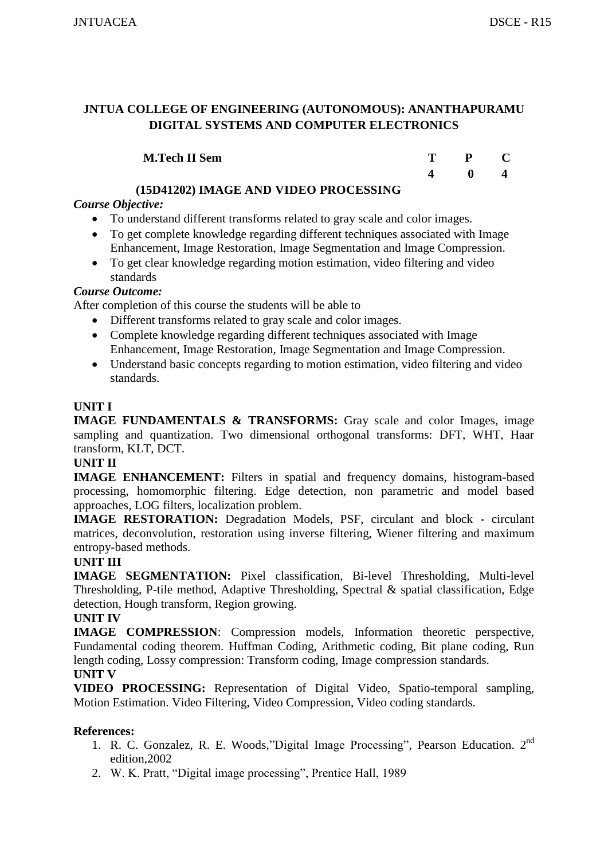| <b>M.Tech II Sem</b> | T. | $P$ C        |  |
|----------------------|----|--------------|--|
|                      |    | $\mathbf{0}$ |  |

# **(15D41202) IMAGE AND VIDEO PROCESSING**

# *Course Objective:*

- To understand different transforms related to gray scale and color images.
- To get complete knowledge regarding different techniques associated with Image Enhancement, Image Restoration, Image Segmentation and Image Compression.
- To get clear knowledge regarding motion estimation, video filtering and video standards

# *Course Outcome:*

After completion of this course the students will be able to

- Different transforms related to gray scale and color images.
- Complete knowledge regarding different techniques associated with Image Enhancement, Image Restoration, Image Segmentation and Image Compression.
- Understand basic concepts regarding to motion estimation, video filtering and video standards.

# **UNIT I**

**IMAGE FUNDAMENTALS & TRANSFORMS:** Gray scale and color Images, image sampling and quantization. Two dimensional orthogonal transforms: DFT, WHT, Haar transform, KLT, DCT.

# **UNIT II**

**IMAGE ENHANCEMENT:** Filters in spatial and frequency domains, histogram-based processing, homomorphic filtering. Edge detection, non parametric and model based approaches, LOG filters, localization problem.

**IMAGE RESTORATION:** Degradation Models, PSF, circulant and block - circulant matrices, deconvolution, restoration using inverse filtering, Wiener filtering and maximum entropy-based methods.

# **UNIT III**

**IMAGE SEGMENTATION:** Pixel classification, Bi-level Thresholding, Multi-level Thresholding, P-tile method, Adaptive Thresholding, Spectral & spatial classification, Edge detection, Hough transform, Region growing.

# **UNIT IV**

**IMAGE COMPRESSION**: Compression models, Information theoretic perspective, Fundamental coding theorem. Huffman Coding, Arithmetic coding, Bit plane coding, Run length coding, Lossy compression: Transform coding, Image compression standards.

# **UNIT V**

**VIDEO PROCESSING:** Representation of Digital Video, Spatio-temporal sampling, Motion Estimation. Video Filtering, Video Compression, Video coding standards.

- 1. R. C. Gonzalez, R. E. Woods*,*"Digital Image Processing"*,* Pearson Education. 2nd edition,2002
- 2. W. K. Pratt, "Digital image processing", Prentice Hall, 1989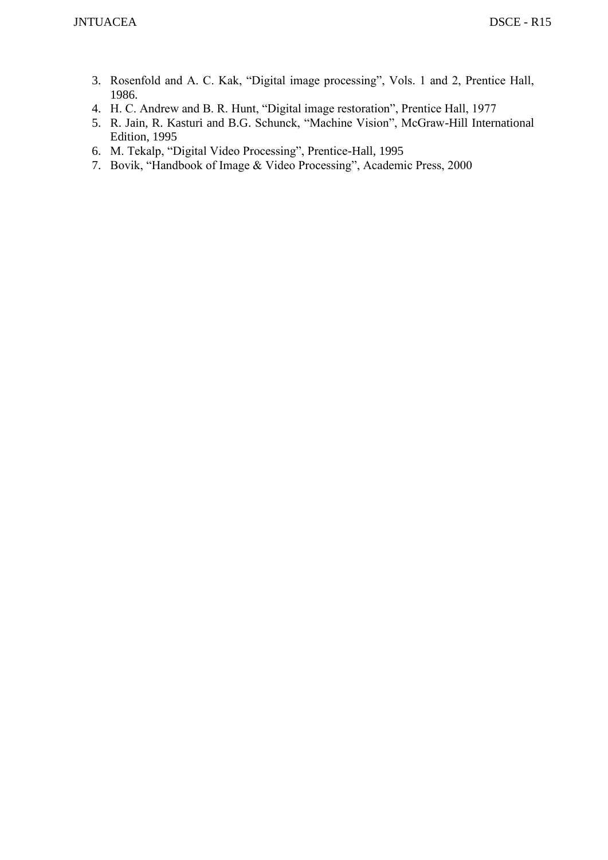- 3. Rosenfold and A. C. Kak, "Digital image processing", Vols. 1 and 2, Prentice Hall, 1986.
- 4. H. C. Andrew and B. R. Hunt, "Digital image restoration", Prentice Hall, 1977
- 5. R. Jain, R. Kasturi and B.G. Schunck, "Machine Vision", McGraw-Hill International Edition, 1995
- 6. M. Tekalp, "Digital Video Processing", Prentice-Hall, 1995
- 7. Bovik, "Handbook of Image & Video Processing", Academic Press, 2000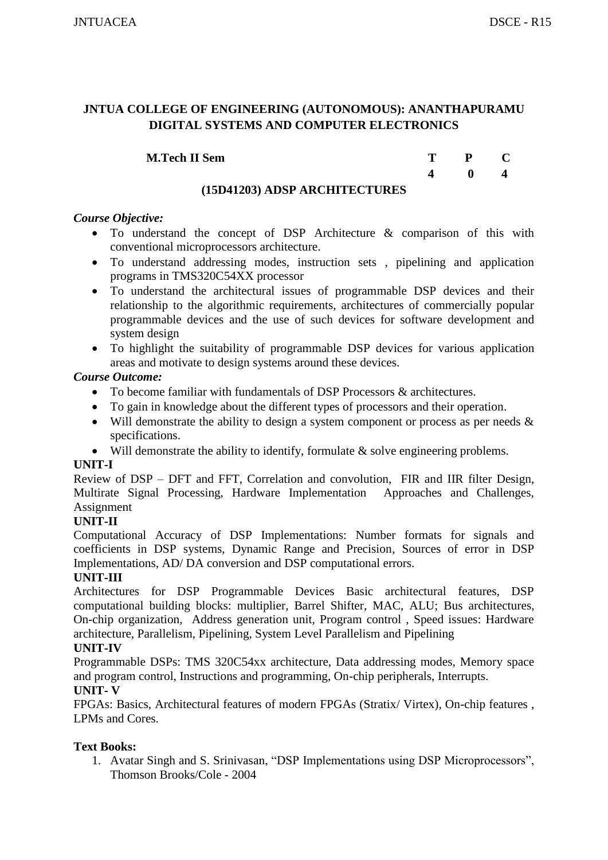| <b>M.Tech II Sem</b>   | Т | $P$ C       |  |
|------------------------|---|-------------|--|
|                        |   | $\mathbf 0$ |  |
| . . ——   – – .<br>$-1$ |   |             |  |

# **(15D41203) ADSP ARCHITECTURES**

## *Course Objective:*

- To understand the concept of DSP Architecture & comparison of this with conventional microprocessors architecture.
- To understand addressing modes, instruction sets , pipelining and application programs in TMS320C54XX processor
- To understand the architectural issues of programmable DSP devices and their relationship to the algorithmic requirements, architectures of commercially popular programmable devices and the use of such devices for software development and system design
- To highlight the suitability of programmable DSP devices for various application areas and motivate to design systems around these devices.

# *Course Outcome:*

- To become familiar with fundamentals of DSP Processors & architectures.
- To gain in knowledge about the different types of processors and their operation.
- Will demonstrate the ability to design a system component or process as per needs  $\&$ specifications.
- Will demonstrate the ability to identify, formulate & solve engineering problems.

# **UNIT-I**

Review of DSP – DFT and FFT, Correlation and convolution, FIR and IIR filter Design, Multirate Signal Processing, Hardware Implementation Approaches and Challenges, Assignment

# **UNIT-II**

Computational Accuracy of DSP Implementations: Number formats for signals and coefficients in DSP systems, Dynamic Range and Precision, Sources of error in DSP Implementations, AD/ DA conversion and DSP computational errors.

# **UNIT-III**

Architectures for DSP Programmable Devices Basic architectural features, DSP computational building blocks: multiplier, Barrel Shifter, MAC, ALU; Bus architectures, On-chip organization, Address generation unit, Program control , Speed issues: Hardware architecture, Parallelism, Pipelining, System Level Parallelism and Pipelining

# **UNIT-IV**

Programmable DSPs: TMS 320C54xx architecture, Data addressing modes, Memory space and program control, Instructions and programming, On-chip peripherals, Interrupts.

# **UNIT- V**

FPGAs: Basics, Architectural features of modern FPGAs (Stratix/ Virtex), On-chip features , LPMs and Cores.

# **Text Books:**

1. Avatar Singh and S. Srinivasan, "DSP Implementations using DSP Microprocessors", Thomson Brooks/Cole - 2004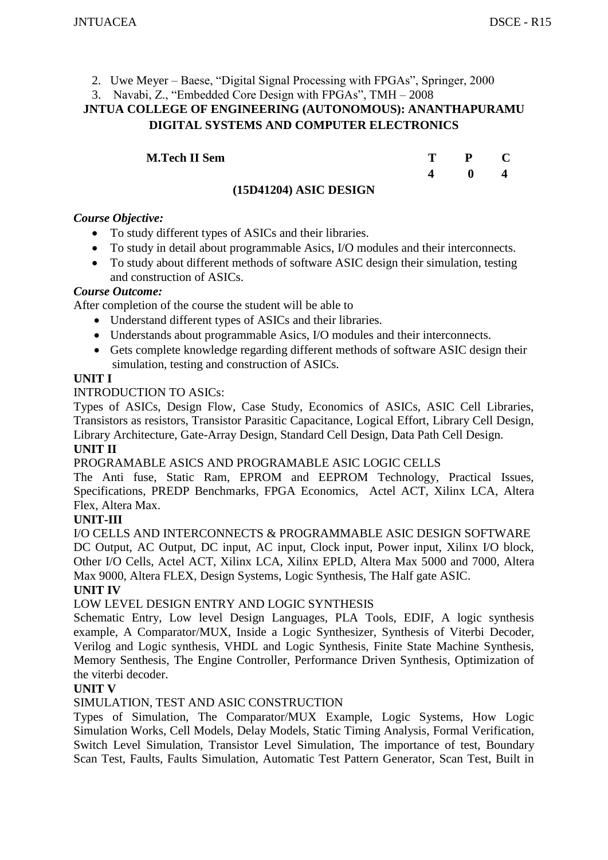- 2. Uwe Meyer Baese, "Digital Signal Processing with FPGAs", Springer, 2000
- 3. Navabi, Z., "Embedded Core Design with FPGAs", TMH 2008

|  | T P C<br>$\begin{array}{ccc} & 0 & 4 \end{array}$ |
|--|---------------------------------------------------|

# **(15D41204) ASIC DESIGN**

# *Course Objective:*

- To study different types of ASICs and their libraries.
- To study in detail about programmable Asics, I/O modules and their interconnects.
- To study about different methods of software ASIC design their simulation, testing and construction of ASICs.

#### *Course Outcome:*

After completion of the course the student will be able to

- Understand different types of ASICs and their libraries.
- Understands about programmable Asics, I/O modules and their interconnects.
- Gets complete knowledge regarding different methods of software ASIC design their simulation, testing and construction of ASICs.

#### **UNIT I**

INTRODUCTION TO ASICs:

Types of ASICs, Design Flow, Case Study, Economics of ASICs, ASIC Cell Libraries, Transistors as resistors, Transistor Parasitic Capacitance, Logical Effort, Library Cell Design, Library Architecture, Gate-Array Design, Standard Cell Design, Data Path Cell Design.

# **UNIT II**

PROGRAMABLE ASICS AND PROGRAMABLE ASIC LOGIC CELLS

The Anti fuse, Static Ram, EPROM and EEPROM Technology, Practical Issues, Specifications, PREDP Benchmarks, FPGA Economics, Actel ACT, Xilinx LCA, Altera Flex, Altera Max.

# **UNIT-III**

I/O CELLS AND INTERCONNECTS & PROGRAMMABLE ASIC DESIGN SOFTWARE DC Output, AC Output, DC input, AC input, Clock input, Power input, Xilinx I/O block, Other I/O Cells, Actel ACT, Xilinx LCA, Xilinx EPLD, Altera Max 5000 and 7000, Altera Max 9000, Altera FLEX, Design Systems, Logic Synthesis, The Half gate ASIC. **UNIT IV**

# LOW LEVEL DESIGN ENTRY AND LOGIC SYNTHESIS

Schematic Entry, Low level Design Languages, PLA Tools, EDIF, A logic synthesis example, A Comparator/MUX, Inside a Logic Synthesizer, Synthesis of Viterbi Decoder, Verilog and Logic synthesis, VHDL and Logic Synthesis, Finite State Machine Synthesis, Memory Senthesis, The Engine Controller, Performance Driven Synthesis, Optimization of the viterbi decoder.

# **UNIT V**

SIMULATION, TEST AND ASIC CONSTRUCTION

Types of Simulation, The Comparator/MUX Example, Logic Systems, How Logic Simulation Works, Cell Models, Delay Models, Static Timing Analysis, Formal Verification, Switch Level Simulation, Transistor Level Simulation, The importance of test, Boundary Scan Test, Faults, Faults Simulation, Automatic Test Pattern Generator, Scan Test, Built in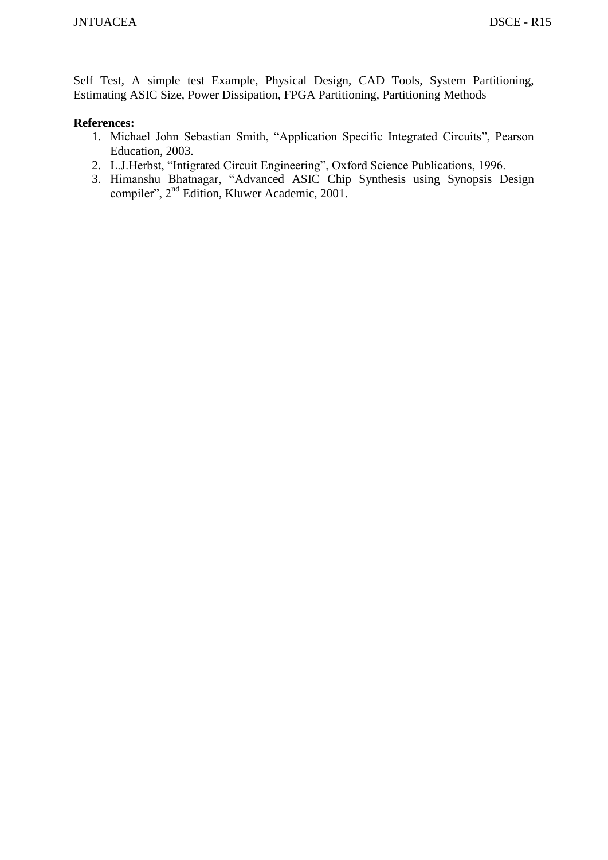Self Test, A simple test Example, Physical Design, CAD Tools, System Partitioning, Estimating ASIC Size, Power Dissipation, FPGA Partitioning, Partitioning Methods

- 1. Michael John Sebastian Smith, "Application Specific Integrated Circuits", Pearson Education, 2003.
- 2. L.J.Herbst, "Intigrated Circuit Engineering", Oxford Science Publications, 1996.
- 3. Himanshu Bhatnagar, "Advanced ASIC Chip Synthesis using Synopsis Design compiler", 2nd Edition, Kluwer Academic, 2001.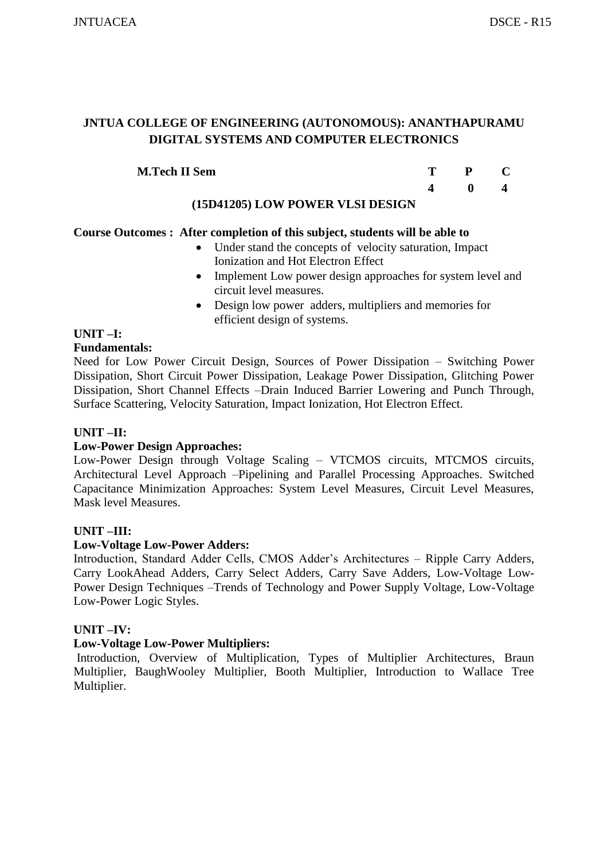| <b>M.Tech II Sem</b>                                            |  |  |
|-----------------------------------------------------------------|--|--|
|                                                                 |  |  |
| $(4.5D.14A0E)$ I $\Delta$ III D $\Delta$ IIIIID III OI DIDOIONI |  |  |

#### **(15D41205) LOW POWER VLSI DESIGN**

# **Course Outcomes : After completion of this subject, students will be able to**

- Under stand the concepts of velocity saturation, Impact Ionization and Hot Electron Effect
- Implement Low power design approaches for system level and circuit level measures.
- Design low power adders, multipliers and memories for efficient design of systems.

# **UNIT –I:**

# **Fundamentals:**

Need for Low Power Circuit Design, Sources of Power Dissipation – Switching Power Dissipation, Short Circuit Power Dissipation, Leakage Power Dissipation, Glitching Power Dissipation, Short Channel Effects –Drain Induced Barrier Lowering and Punch Through, Surface Scattering, Velocity Saturation, Impact Ionization, Hot Electron Effect.

# **UNIT –II:**

# **Low-Power Design Approaches:**

Low-Power Design through Voltage Scaling – VTCMOS circuits, MTCMOS circuits, Architectural Level Approach –Pipelining and Parallel Processing Approaches. Switched Capacitance Minimization Approaches: System Level Measures, Circuit Level Measures, Mask level Measures.

# **UNIT –III:**

#### **Low-Voltage Low-Power Adders:**

Introduction, Standard Adder Cells, CMOS Adder's Architectures – Ripple Carry Adders, Carry LookAhead Adders, Carry Select Adders, Carry Save Adders, Low-Voltage Low-Power Design Techniques –Trends of Technology and Power Supply Voltage, Low-Voltage Low-Power Logic Styles.

# **UNIT –IV:**

# **Low-Voltage Low-Power Multipliers:**

Introduction, Overview of Multiplication, Types of Multiplier Architectures, Braun Multiplier, BaughWooley Multiplier, Booth Multiplier, Introduction to Wallace Tree Multiplier.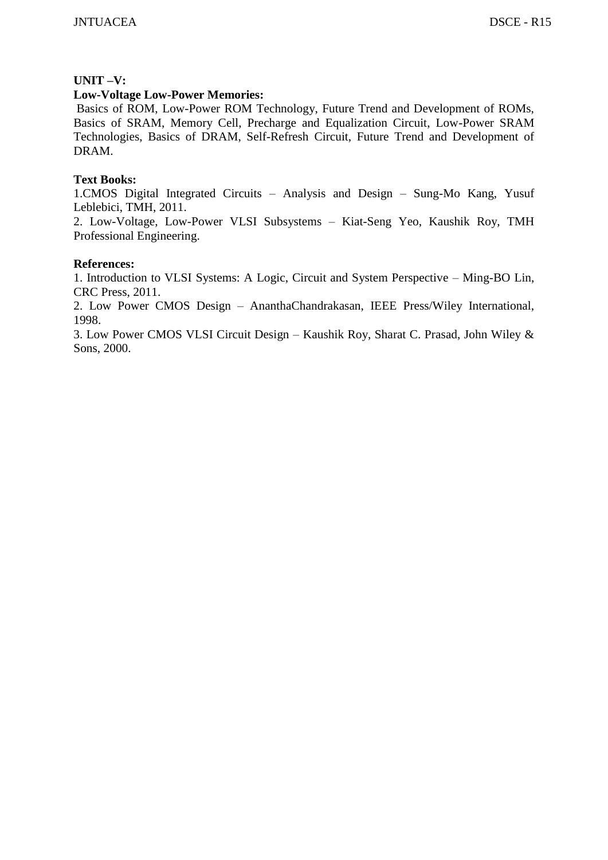#### **UNIT –V:**

#### **Low-Voltage Low-Power Memories:**

Basics of ROM, Low-Power ROM Technology, Future Trend and Development of ROMs, Basics of SRAM, Memory Cell, Precharge and Equalization Circuit, Low-Power SRAM Technologies, Basics of DRAM, Self-Refresh Circuit, Future Trend and Development of DRAM.

#### **Text Books:**

1.CMOS Digital Integrated Circuits – Analysis and Design – Sung-Mo Kang, Yusuf Leblebici, TMH, 2011.

2. Low-Voltage, Low-Power VLSI Subsystems – Kiat-Seng Yeo, Kaushik Roy, TMH Professional Engineering.

#### **References:**

1. Introduction to VLSI Systems: A Logic, Circuit and System Perspective – Ming-BO Lin, CRC Press, 2011.

2. Low Power CMOS Design – AnanthaChandrakasan, IEEE Press/Wiley International, 1998.

3. Low Power CMOS VLSI Circuit Design – Kaushik Roy, Sharat C. Prasad, John Wiley & Sons, 2000.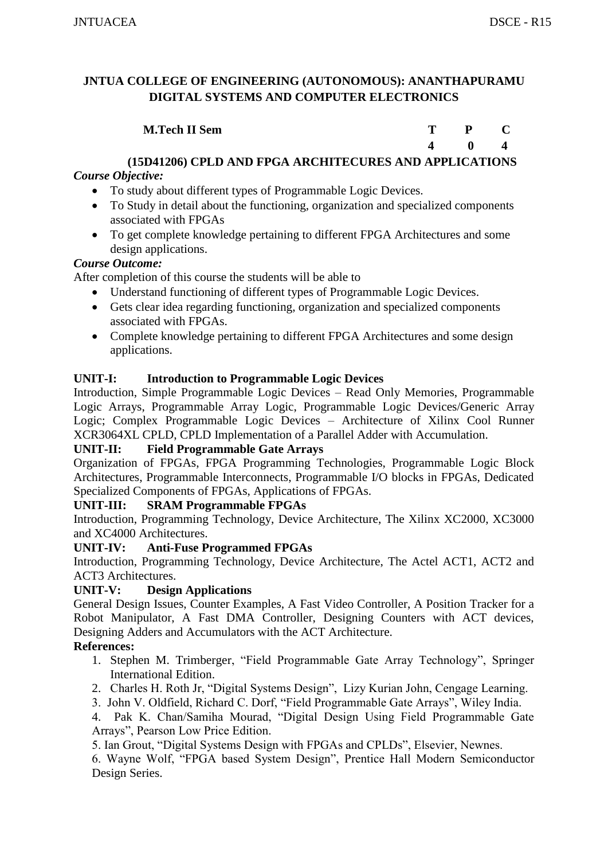| <b>M.Tech II Sem</b> | $P$ $C$      |  |
|----------------------|--------------|--|
|                      | $\mathbf{0}$ |  |

# **(15D41206) CPLD AND FPGA ARCHITECURES AND APPLICATIONS**

# *Course Objective:*

- To study about different types of Programmable Logic Devices.
- To Study in detail about the functioning, organization and specialized components associated with FPGAs
- To get complete knowledge pertaining to different FPGA Architectures and some design applications.

# *Course Outcome:*

After completion of this course the students will be able to

- Understand functioning of different types of Programmable Logic Devices.
- Gets clear idea regarding functioning, organization and specialized components associated with FPGAs.
- Complete knowledge pertaining to different FPGA Architectures and some design applications.

# **UNIT-I: Introduction to Programmable Logic Devices**

Introduction, Simple Programmable Logic Devices – Read Only Memories, Programmable Logic Arrays, Programmable Array Logic, Programmable Logic Devices/Generic Array Logic; Complex Programmable Logic Devices – Architecture of Xilinx Cool Runner XCR3064XL CPLD, CPLD Implementation of a Parallel Adder with Accumulation.

# **UNIT-II: Field Programmable Gate Arrays**

Organization of FPGAs, FPGA Programming Technologies, Programmable Logic Block Architectures, Programmable Interconnects, Programmable I/O blocks in FPGAs, Dedicated Specialized Components of FPGAs, Applications of FPGAs.

# **UNIT-III: SRAM Programmable FPGAs**

Introduction, Programming Technology, Device Architecture, The Xilinx XC2000, XC3000 and XC4000 Architectures.

# **UNIT-IV: Anti-Fuse Programmed FPGAs**

Introduction, Programming Technology, Device Architecture, The Actel ACT1, ACT2 and ACT3 Architectures.

# **UNIT-V: Design Applications**

General Design Issues, Counter Examples, A Fast Video Controller, A Position Tracker for a Robot Manipulator, A Fast DMA Controller, Designing Counters with ACT devices, Designing Adders and Accumulators with the ACT Architecture.

# **References:**

- 1. Stephen M. Trimberger, "Field Programmable Gate Array Technology", Springer International Edition.
- 2. Charles H. Roth Jr, "Digital Systems Design", Lizy Kurian John, Cengage Learning.
- 3. John V. Oldfield, Richard C. Dorf, "Field Programmable Gate Arrays", Wiley India.
- 4. Pak K. Chan/Samiha Mourad, "Digital Design Using Field Programmable Gate Arrays", Pearson Low Price Edition.

5. Ian Grout, "Digital Systems Design with FPGAs and CPLDs", Elsevier, Newnes.

6. Wayne Wolf, "FPGA based System Design", Prentice Hall Modern Semiconductor Design Series.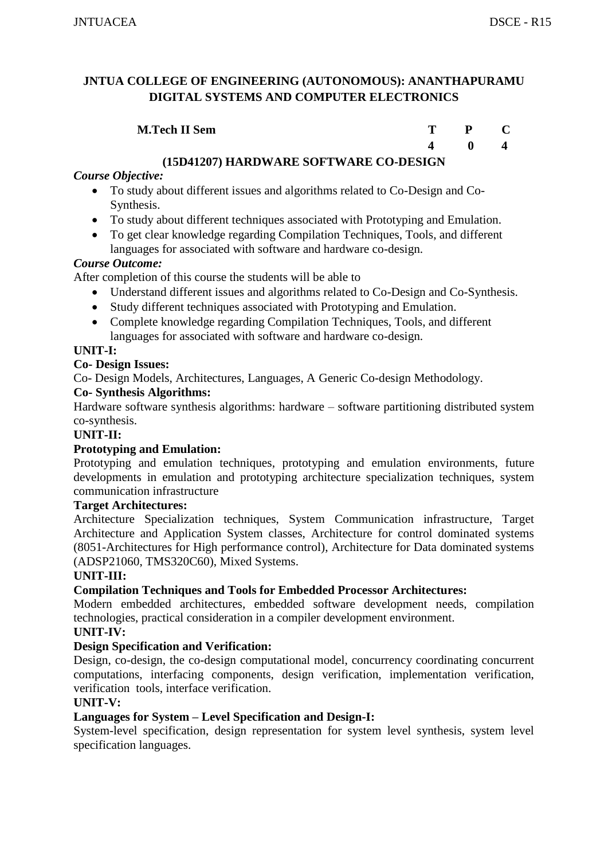| <b>M.Tech II Sem</b> | $\mathbf{P}$ |  |
|----------------------|--------------|--|
|                      | $\mathbf{0}$ |  |

# **(15D41207) HARDWARE SOFTWARE CO-DESIGN**

# *Course Objective:*

- To study about different issues and algorithms related to Co-Design and Co-Synthesis.
- To study about different techniques associated with Prototyping and Emulation.
- To get clear knowledge regarding Compilation Techniques, Tools, and different languages for associated with software and hardware co-design.

# *Course Outcome:*

After completion of this course the students will be able to

- Understand different issues and algorithms related to Co-Design and Co-Synthesis.
- Study different techniques associated with Prototyping and Emulation.
- Complete knowledge regarding Compilation Techniques, Tools, and different languages for associated with software and hardware co-design.

#### **UNIT-I:**

#### **Co- Design Issues:**

Co- Design Models, Architectures, Languages, A Generic Co-design Methodology.

#### **Co- Synthesis Algorithms:**

Hardware software synthesis algorithms: hardware – software partitioning distributed system co-synthesis.

#### **UNIT-II:**

#### **Prototyping and Emulation:**

Prototyping and emulation techniques, prototyping and emulation environments, future developments in emulation and prototyping architecture specialization techniques, system communication infrastructure

#### **Target Architectures:**

Architecture Specialization techniques, System Communication infrastructure, Target Architecture and Application System classes, Architecture for control dominated systems (8051-Architectures for High performance control), Architecture for Data dominated systems (ADSP21060, TMS320C60), Mixed Systems.

#### **UNIT-III:**

# **Compilation Techniques and Tools for Embedded Processor Architectures:**

Modern embedded architectures, embedded software development needs, compilation technologies, practical consideration in a compiler development environment.

#### **UNIT-IV:**

# **Design Specification and Verification:**

Design, co-design, the co-design computational model, concurrency coordinating concurrent computations, interfacing components, design verification, implementation verification, verification tools, interface verification.

#### **UNIT-V:**

# **Languages for System – Level Specification and Design-I:**

System-level specification, design representation for system level synthesis, system level specification languages.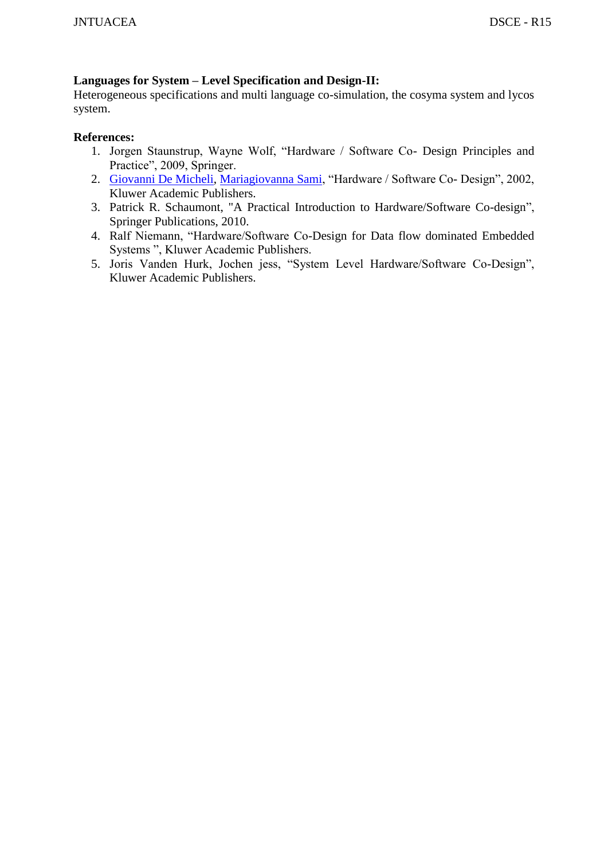# **Languages for System – Level Specification and Design-II:**

Heterogeneous specifications and multi language co-simulation, the cosyma system and lycos system.

- 1. Jorgen Staunstrup, Wayne Wolf, "Hardware / Software Co- Design Principles and Practice", 2009, Springer.
- 2. [Giovanni De Micheli,](http://www.google.co.in/search?tbo=p&tbm=bks&q=inauthor:%22Giovanni+De+Micheli%22) [Mariagiovanna Sami,](http://www.google.co.in/search?tbo=p&tbm=bks&q=inauthor:%22Mariagiovanna+Sami%22) "Hardware / Software Co- Design", 2002, Kluwer Academic Publishers.
- 3. [Patrick R. Schaumont,](http://books.google.co.in/ebooks?output=ws2&as_brr=5&q=inauthor%3A%22Patrick%20R%20Schaumont%22) ["A Practical Introduction to Hardware/Software Co-design"](http://books.google.co.in/books?id=ngENR5O6fusC&source=gbs_similarbooks), Springer Publications, 2010.
- 4. Ralf Niemann, "Hardware/Software Co-Design for Data flow dominated Embedded Systems ", Kluwer Academic Publishers.
- 5. Joris Vanden Hurk, Jochen jess, "System Level Hardware/Software Co-Design", Kluwer Academic Publishers.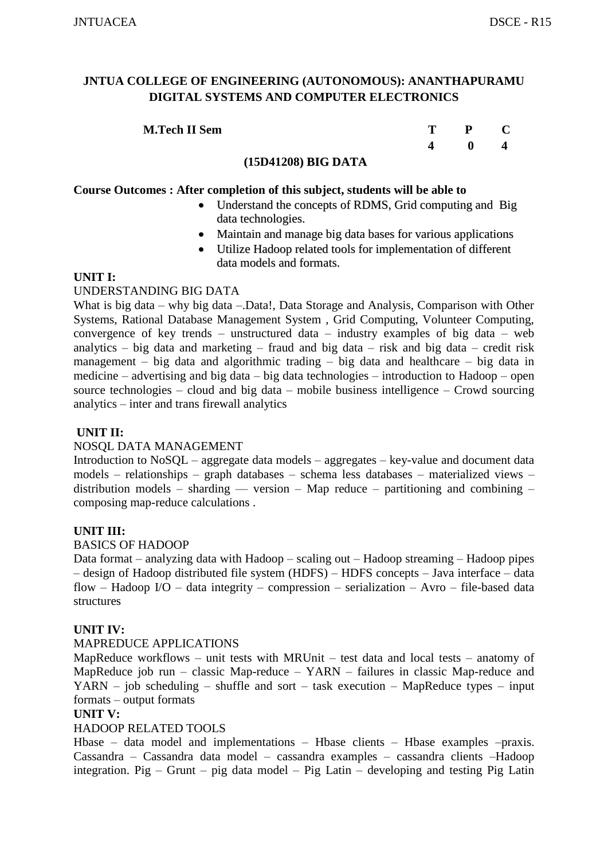| <b>M.Tech II Sem</b> | T. | $P$ C        |  |
|----------------------|----|--------------|--|
|                      |    | $\mathbf{0}$ |  |

#### **(15D41208) BIG DATA**

#### **Course Outcomes : After completion of this subject, students will be able to**

- Understand the concepts of RDMS, Grid computing and Big data technologies.
- Maintain and manage big data bases for various applications
- Utilize Hadoop related tools for implementation of different data models and formats.

#### **UNIT I:**

#### UNDERSTANDING BIG DATA

What is big data – why big data – Data!, Data Storage and Analysis, Comparison with Other Systems, Rational Database Management System , Grid Computing, Volunteer Computing, convergence of key trends – unstructured data – industry examples of big data – web analytics – big data and marketing – fraud and big data – risk and big data – credit risk management – big data and algorithmic trading – big data and healthcare – big data in medicine – advertising and big data – big data technologies – introduction to Hadoop – open source technologies – cloud and big data – mobile business intelligence – Crowd sourcing analytics – inter and trans firewall analytics

#### **UNIT II:**

#### NOSQL DATA MANAGEMENT

Introduction to NoSQL – aggregate data models – aggregates – key-value and document data models – relationships – graph databases – schema less databases – materialized views – distribution models – sharding — version – Map reduce – partitioning and combining – composing map-reduce calculations .

#### **UNIT III:**

#### BASICS OF HADOOP

Data format – analyzing data with Hadoop – scaling out – Hadoop streaming – Hadoop pipes – design of Hadoop distributed file system (HDFS) – HDFS concepts – Java interface – data flow – Hadoop I/O – data integrity – compression – serialization – Avro – file-based data structures

#### **UNIT IV:**

#### MAPREDUCE APPLICATIONS

MapReduce workflows – unit tests with MRUnit – test data and local tests – anatomy of MapReduce job run – classic Map-reduce – YARN – failures in classic Map-reduce and  $YARN - job scheduling - shuffle and sort - task execution - MapReduce types - input$ formats – output formats

#### **UNIT V:**

#### HADOOP RELATED TOOLS

Hbase – data model and implementations – Hbase clients – Hbase examples –praxis. Cassandra – Cassandra data model – cassandra examples – cassandra clients –Hadoop integration. Pig – Grunt – pig data model – Pig Latin – developing and testing Pig Latin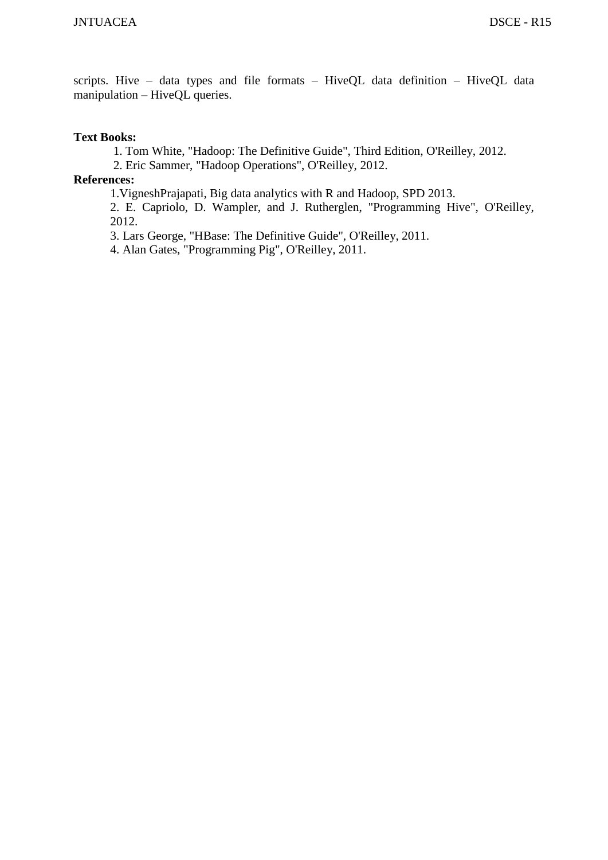scripts. Hive – data types and file formats – HiveQL data definition – HiveQL data manipulation – HiveQL queries.

#### **Text Books:**

1. Tom White, "Hadoop: The Definitive Guide", Third Edition, O'Reilley, 2012.

2. Eric Sammer, "Hadoop Operations", O'Reilley, 2012.

#### **References:**

1.VigneshPrajapati, Big data analytics with R and Hadoop, SPD 2013.

2. E. Capriolo, D. Wampler, and J. Rutherglen, "Programming Hive", O'Reilley, 2012.

3. Lars George, "HBase: The Definitive Guide", O'Reilley, 2011.

4. Alan Gates, "Programming Pig", O'Reilley, 2011.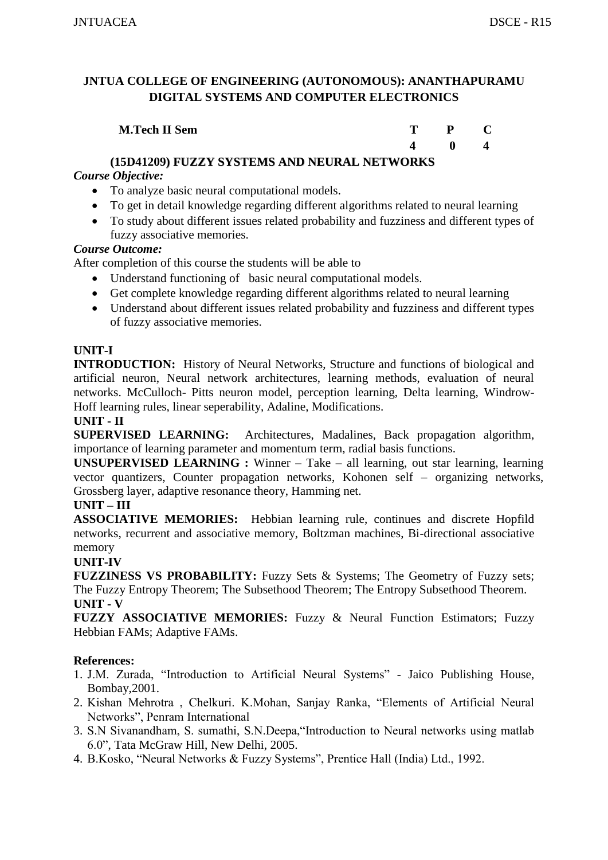| <b>M.Tech II Sem</b> | $P_{C}$ |  |
|----------------------|---------|--|
|                      |         |  |

# **(15D41209) FUZZY SYSTEMS AND NEURAL NETWORKS**

# *Course Objective:*

- To analyze basic neural computational models.
- To get in detail knowledge regarding different algorithms related to neural learning
- To study about different issues related probability and fuzziness and different types of fuzzy associative memories.

# *Course Outcome:*

After completion of this course the students will be able to

- Understand functioning of basic neural computational models.
- Get complete knowledge regarding different algorithms related to neural learning
- Understand about different issues related probability and fuzziness and different types of fuzzy associative memories.

# **UNIT-I**

**INTRODUCTION:** History of Neural Networks, Structure and functions of biological and artificial neuron, Neural network architectures, learning methods, evaluation of neural networks. McCulloch- Pitts neuron model, perception learning, Delta learning, Windrow-Hoff learning rules, linear seperability, Adaline, Modifications.

#### **UNIT - II**

**SUPERVISED LEARNING:** Architectures, Madalines, Back propagation algorithm, importance of learning parameter and momentum term, radial basis functions.

**UNSUPERVISED LEARNING :** Winner – Take – all learning, out star learning, learning vector quantizers, Counter propagation networks, Kohonen self – organizing networks, Grossberg layer, adaptive resonance theory, Hamming net.

#### **UNIT – III**

**ASSOCIATIVE MEMORIES:** Hebbian learning rule, continues and discrete Hopfild networks, recurrent and associative memory, Boltzman machines, Bi-directional associative memory

# **UNIT-IV**

**FUZZINESS VS PROBABILITY:** Fuzzy Sets & Systems; The Geometry of Fuzzy sets; The Fuzzy Entropy Theorem; The Subsethood Theorem; The Entropy Subsethood Theorem. **UNIT - V**

**FUZZY ASSOCIATIVE MEMORIES:** Fuzzy & Neural Function Estimators; Fuzzy Hebbian FAMs; Adaptive FAMs.

- 1. J.M. Zurada, "Introduction to Artificial Neural Systems" Jaico Publishing House, Bombay,2001.
- 2. Kishan Mehrotra , Chelkuri. K.Mohan, Sanjay Ranka, "Elements of Artificial Neural Networks", Penram International
- 3. S.N Sivanandham, S. sumathi, S.N.Deepa,"Introduction to Neural networks using matlab 6.0", Tata McGraw Hill, New Delhi, 2005.
- 4. B.Kosko, "Neural Networks & Fuzzy Systems", Prentice Hall (India) Ltd., 1992.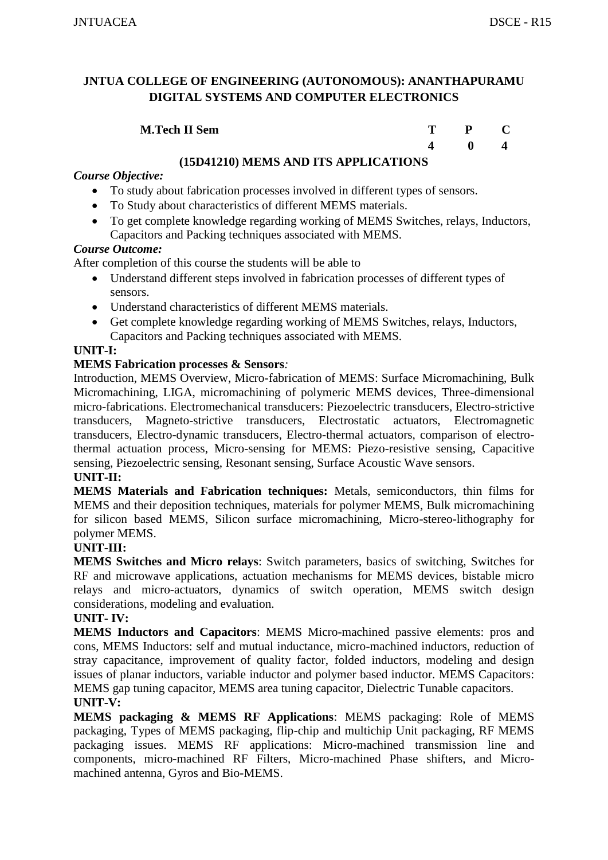| <b>M.Tech II Sem</b> | $T \t P \t C$ |                                        |
|----------------------|---------------|----------------------------------------|
|                      |               | $\begin{array}{ccc} 0 & 4 \end{array}$ |

# **(15D41210) MEMS AND ITS APPLICATIONS**

# *Course Objective:*

- To study about fabrication processes involved in different types of sensors.
- To Study about characteristics of different MEMS materials.
- To get complete knowledge regarding working of MEMS Switches, relays, Inductors, Capacitors and Packing techniques associated with MEMS.

#### *Course Outcome:*

After completion of this course the students will be able to

- Understand different steps involved in fabrication processes of different types of sensors.
- Understand characteristics of different MEMS materials.
- Get complete knowledge regarding working of MEMS Switches, relays, Inductors, Capacitors and Packing techniques associated with MEMS.

# **UNIT-I:**

#### **MEMS Fabrication processes & Sensors***:*

Introduction, MEMS Overview, Micro-fabrication of MEMS: Surface Micromachining, Bulk Micromachining, LIGA, micromachining of polymeric MEMS devices, Three-dimensional micro-fabrications. Electromechanical transducers: Piezoelectric transducers, Electro-strictive transducers, Magneto-strictive transducers, Electrostatic actuators, Electromagnetic transducers, Electro-dynamic transducers, Electro-thermal actuators, comparison of electrothermal actuation process, Micro-sensing for MEMS: Piezo-resistive sensing, Capacitive sensing, Piezoelectric sensing, Resonant sensing, Surface Acoustic Wave sensors.

#### **UNIT-II:**

**MEMS Materials and Fabrication techniques:** Metals, semiconductors, thin films for MEMS and their deposition techniques, materials for polymer MEMS, Bulk micromachining for silicon based MEMS, Silicon surface micromachining, Micro-stereo-lithography for polymer MEMS.

#### **UNIT-III:**

**MEMS Switches and Micro relays**: Switch parameters, basics of switching, Switches for RF and microwave applications, actuation mechanisms for MEMS devices, bistable micro relays and micro-actuators, dynamics of switch operation, MEMS switch design considerations, modeling and evaluation.

#### **UNIT- IV:**

**MEMS Inductors and Capacitors**: MEMS Micro-machined passive elements: pros and cons, MEMS Inductors: self and mutual inductance, micro-machined inductors, reduction of stray capacitance, improvement of quality factor, folded inductors, modeling and design issues of planar inductors, variable inductor and polymer based inductor. MEMS Capacitors: MEMS gap tuning capacitor, MEMS area tuning capacitor, Dielectric Tunable capacitors. **UNIT-V:**

**MEMS packaging & MEMS RF Applications**: MEMS packaging: Role of MEMS packaging, Types of MEMS packaging, flip-chip and multichip Unit packaging, RF MEMS packaging issues. MEMS RF applications: Micro-machined transmission line and components, micro-machined RF Filters, Micro-machined Phase shifters, and Micromachined antenna, Gyros and Bio-MEMS.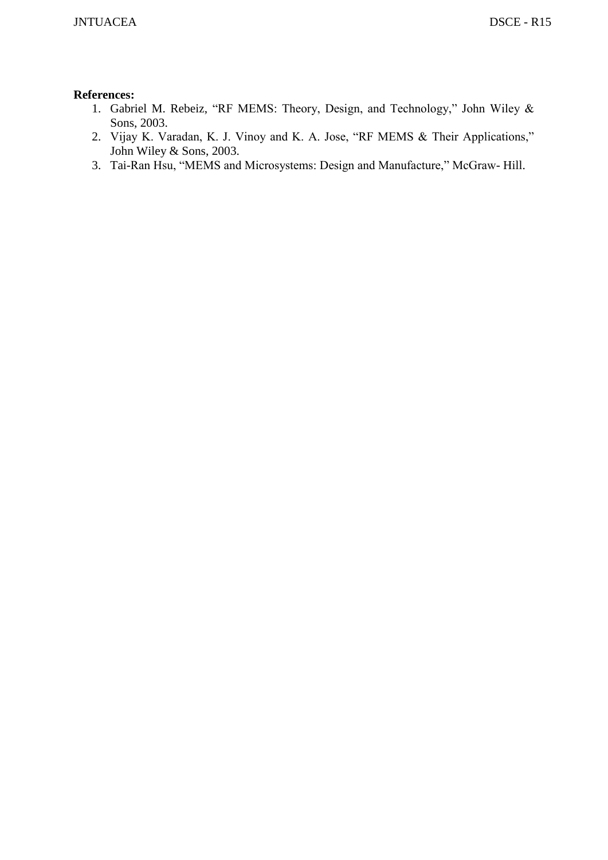- 1. Gabriel M. Rebeiz, "RF MEMS: Theory, Design, and Technology," John Wiley & Sons, 2003.
- 2. Vijay K. Varadan, K. J. Vinoy and K. A. Jose, "RF MEMS & Their Applications," John Wiley & Sons, 2003.
- 3. Tai-Ran Hsu, "MEMS and Microsystems: Design and Manufacture," McGraw- Hill.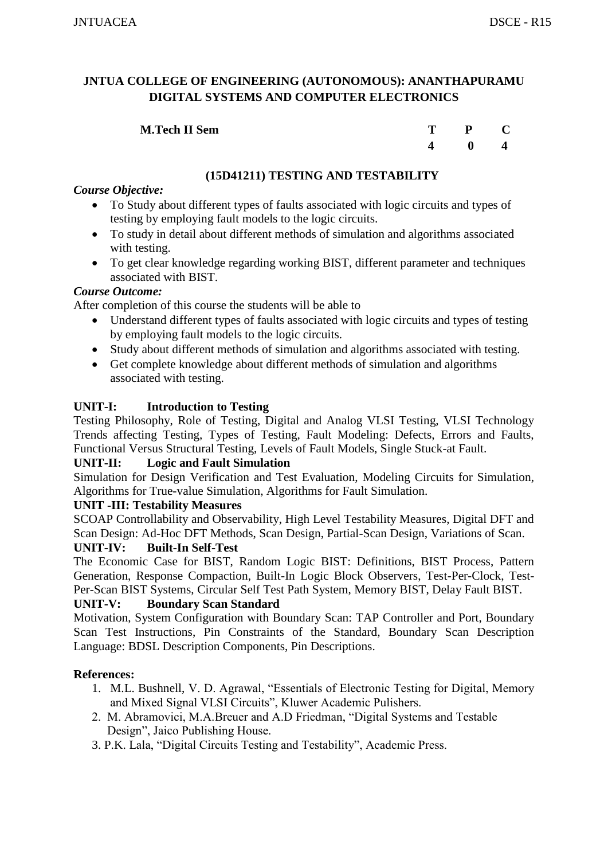| <b>M.Tech II Sem</b> | T – | $P$ C |  |
|----------------------|-----|-------|--|
|                      |     |       |  |

# **(15D41211) TESTING AND TESTABILITY**

# *Course Objective:*

- To Study about different types of faults associated with logic circuits and types of testing by employing fault models to the logic circuits.
- To study in detail about different methods of simulation and algorithms associated with testing.
- To get clear knowledge regarding working BIST, different parameter and techniques associated with BIST.

#### *Course Outcome:*

After completion of this course the students will be able to

- Understand different types of faults associated with logic circuits and types of testing by employing fault models to the logic circuits.
- Study about different methods of simulation and algorithms associated with testing.
- Get complete knowledge about different methods of simulation and algorithms associated with testing.

# **UNIT-I: Introduction to Testing**

Testing Philosophy, Role of Testing, Digital and Analog VLSI Testing, VLSI Technology Trends affecting Testing, Types of Testing, Fault Modeling: Defects, Errors and Faults, Functional Versus Structural Testing, Levels of Fault Models, Single Stuck-at Fault.

#### **UNIT-II: Logic and Fault Simulation**

Simulation for Design Verification and Test Evaluation, Modeling Circuits for Simulation, Algorithms for True-value Simulation, Algorithms for Fault Simulation.

#### **UNIT -III: Testability Measures**

SCOAP Controllability and Observability, High Level Testability Measures, Digital DFT and Scan Design: Ad-Hoc DFT Methods, Scan Design, Partial-Scan Design, Variations of Scan.

#### **UNIT-IV: Built-In Self-Test**

The Economic Case for BIST, Random Logic BIST: Definitions, BIST Process, Pattern Generation, Response Compaction, Built-In Logic Block Observers, Test-Per-Clock, Test-Per-Scan BIST Systems, Circular Self Test Path System, Memory BIST, Delay Fault BIST.

#### **UNIT-V: Boundary Scan Standard**

Motivation, System Configuration with Boundary Scan: TAP Controller and Port, Boundary Scan Test Instructions, Pin Constraints of the Standard, Boundary Scan Description Language: BDSL Description Components, Pin Descriptions.

- 1. M.L. Bushnell, V. D. Agrawal, "Essentials of Electronic Testing for Digital, Memory and Mixed Signal VLSI Circuits", Kluwer Academic Pulishers.
- 2. M. Abramovici, M.A.Breuer and A.D Friedman, "Digital Systems and Testable Design", Jaico Publishing House.
- 3. P.K. Lala, "Digital Circuits Testing and Testability", Academic Press.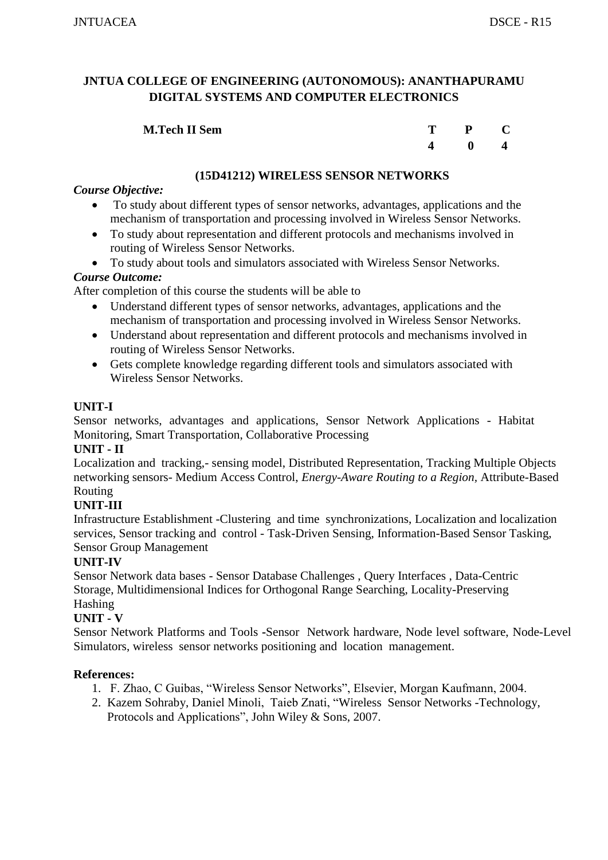| <b>M.Tech II Sem</b> | T. | $P$ C        |  |
|----------------------|----|--------------|--|
|                      |    | $\mathbf{0}$ |  |

# **(15D41212) WIRELESS SENSOR NETWORKS**

#### *Course Objective:*

- To study about different types of sensor networks, advantages, applications and the mechanism of transportation and processing involved in Wireless Sensor Networks.
- To study about representation and different protocols and mechanisms involved in routing of Wireless Sensor Networks.
- To study about tools and simulators associated with Wireless Sensor Networks.

#### *Course Outcome:*

After completion of this course the students will be able to

- Understand different types of sensor networks, advantages, applications and the mechanism of transportation and processing involved in Wireless Sensor Networks.
- Understand about representation and different protocols and mechanisms involved in routing of Wireless Sensor Networks.
- Gets complete knowledge regarding different tools and simulators associated with Wireless Sensor Networks.

# **UNIT-I**

Sensor networks, advantages and applications, Sensor Network Applications - Habitat Monitoring, Smart Transportation, Collaborative Processing

# **UNIT - II**

Localization and tracking,- sensing model, Distributed Representation, Tracking Multiple Objects networking sensors- Medium Access Control, *Energy-Aware Routing to a Region,* Attribute-Based Routing

# **UNIT-III**

Infrastructure Establishment -Clustering and time synchronizations, Localization and localization services, Sensor tracking and control - Task-Driven Sensing, Information-Based Sensor Tasking, Sensor Group Management

# **UNIT-IV**

Sensor Network data bases - Sensor Database Challenges , Query Interfaces , Data-Centric Storage, Multidimensional Indices for Orthogonal Range Searching, Locality-Preserving Hashing

# **UNIT - V**

Sensor Network Platforms and Tools **-**Sensor Network hardware, Node level software, Node-Level Simulators, wireless sensor networks positioning and location management.

- 1. F. Zhao, C Guibas, "Wireless Sensor Networks", Elsevier, Morgan Kaufmann, 2004.
- 2. Kazem Sohraby, Daniel Minoli, Taieb Znati, "Wireless Sensor Networks -Technology, Protocols and Applications", John Wiley & Sons, 2007.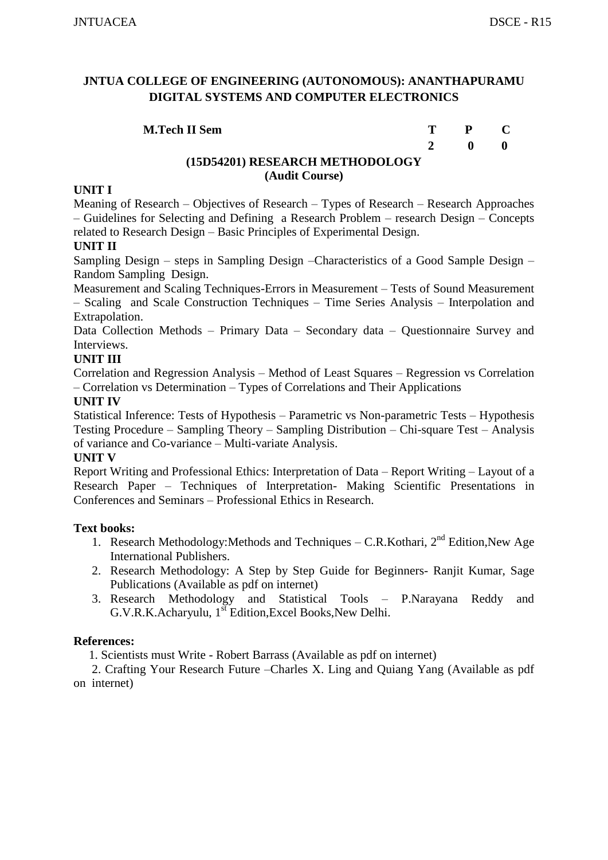| <b>M.Tech II Sem</b>            | T P C |  |
|---------------------------------|-------|--|
|                                 | 2 0 0 |  |
| (15D54201) RESEARCH METHODOLOGY |       |  |

#### **(Audit Course)**

#### **UNIT I**

Meaning of Research – Objectives of Research – Types of Research – Research Approaches – Guidelines for Selecting and Defining a Research Problem – research Design – Concepts related to Research Design – Basic Principles of Experimental Design.

#### **UNIT II**

Sampling Design – steps in Sampling Design –Characteristics of a Good Sample Design – Random Sampling Design.

Measurement and Scaling Techniques-Errors in Measurement – Tests of Sound Measurement – Scaling and Scale Construction Techniques – Time Series Analysis – Interpolation and Extrapolation.

Data Collection Methods – Primary Data – Secondary data – Questionnaire Survey and Interviews.

#### **UNIT III**

Correlation and Regression Analysis – Method of Least Squares – Regression vs Correlation – Correlation vs Determination – Types of Correlations and Their Applications

#### **UNIT IV**

Statistical Inference: Tests of Hypothesis – Parametric vs Non-parametric Tests – Hypothesis Testing Procedure – Sampling Theory – Sampling Distribution – Chi-square Test – Analysis of variance and Co-variance – Multi-variate Analysis.

#### **UNIT V**

Report Writing and Professional Ethics: Interpretation of Data – Report Writing – Layout of a Research Paper – Techniques of Interpretation- Making Scientific Presentations in Conferences and Seminars – Professional Ethics in Research.

#### **Text books:**

- 1. Research Methodology: Methods and Techniques C.R. Kothari,  $2<sup>nd</sup>$  Edition, New Age International Publishers.
- 2. Research Methodology: A Step by Step Guide for Beginners- Ranjit Kumar, Sage Publications (Available as pdf on internet)
- 3. Research Methodology and Statistical Tools P.Narayana Reddy and G.V.R.K.Acharyulu, 1<sup>st</sup> Edition, Excel Books, New Delhi.

#### **References:**

1. Scientists must Write - Robert Barrass (Available as pdf on internet)

 2. Crafting Your Research Future –Charles X. Ling and Quiang Yang (Available as pdf on internet)